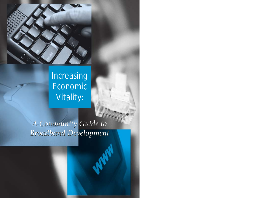

# Increasing Economic Vitality:

*A Community Guide to A Community Guide to Broadband Development Broadband Development*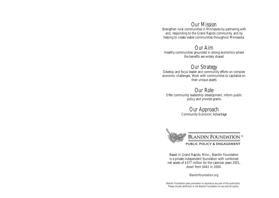# *Our Mission*

Strengthen rural communities in Minnesota by partnering with and, responding to the Grand Rapids community, and by helping to create viable communities throughout Minnesota.

## *Our Aim*

Healthy communities grounded in strong economics where the benefits are widely shared

*Our Strategy* Develop and focus leader and community efforts on complex economic challenges. Work with communities to capitalize on their unique assets

# *Our Role*

Offer community leadership development, inform public policy and provide grants

# *Our Approach* Community Economic Advantage



Based in Grand Rapids, Minn., Blandin Foundation is a private independent foundation with combined net assets of \$377 million for the calendar years 2001, down from \$441 in 2000.

#### Blandinfoundation.org

Blandin Foundation gives permission to reproduce any part of this publication. Please include attribution to the Blandin Foundation on any and all copies.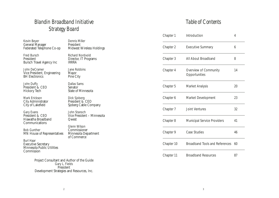# *Blandin Broadband Initiative Strategy Board*

Kevin Beyer General Manager Federated Telephone Co-op

Fred Bursch President Bursch Travel Agency Inc

John DeCramer Vice President, Engineering BH Electronics

John Duffy President & CEO Hickory Tech

Mark Erickson City Administrator City of Lakefield

Gary Evans President & CEO Hiawatha Broadband Communications

Bob Gunther MN House of Representatives

Burl Haar

Executive Secretary Minnesota Public Utilities Commission

> Project Consultant and Author of the Guide Gary L. Fields President Development Strategies and Resources, Inc.

Dennis Miller President Midwest Wireless Holdings

Richard Nordvold Director, IT Programs IRRRA

Jane Robbins Mayor Pine City

Dallas Sams Senator State of Minnesota

Dick Sjoberg President & CEO Sjoberg Cable Company

John Stanoch Vice President – Minnesota Qwest

Glenn Wilson Commissioner Minnesota Department of Commerce

*Table of Contents*

| Chapter 1  | Introduction                                  | 4  |
|------------|-----------------------------------------------|----|
| Chapter 2  | <b>Executive Summary</b>                      | 6  |
| Chapter 3  | All About Broadband                           | 8  |
| Chapter 4  | <b>Overview of Community</b><br>Opportunities | 14 |
| Chapter 5  | <b>Market Analysis</b>                        | 20 |
| Chapter 6  | <b>Market Development</b>                     | 23 |
| Chapter 7  | <b>Joint Ventures</b>                         | 32 |
| Chapter 8  | <b>Municipal Service Providers</b>            | 41 |
| Chapter 9  | <b>Case Studies</b>                           | 46 |
| Chapter 10 | <b>Broadband Tools and References</b>         | 60 |
| Chapter 11 | <b>Broadband Resources</b>                    | 87 |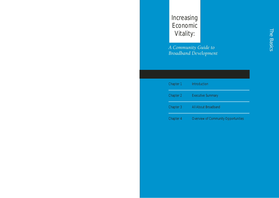# Increasing Economic Vitality:

*A Community Guide to Broadband Development*

| Chapter 1 | Introduction                               |
|-----------|--------------------------------------------|
| Chapter 2 | <b>Executive Summary</b>                   |
| Chapter 3 | All About Broadband                        |
| Chapter 4 | <b>Overview of Community Opportunities</b> |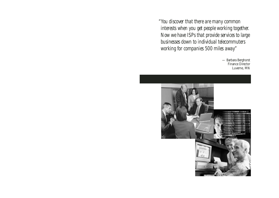*"You discover that there are many common interests when you get people working together. Now we have ISPs that provide services to large businesses down to individual telecommuters working for companies 500 miles away"*

> — Barbara Berghorst Finance Director Luverne, MN

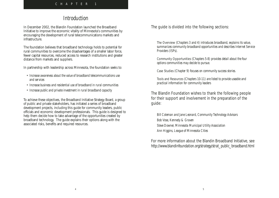# *Introduction*

In December 2002, the Blandin Foundation launched the Broadband Initiative to improve the economic vitality of Minnesota's communities by encouraging the development of rural telecommunications markets and infrastructure.

The foundation believes that broadband technology holds to potential for rural communities to overcome the disadvantages of a smaller labor force, fewer capital resources, reduced access to research institutions and greater distance from markets and suppliers.

In partnership with leadership across Minnesota, the foundation seeks to:

- *Increase awareness about the value of broadband telecommunications use and services*
- *Increase business and residential use of broadband in rural communities*
- *Increase public and private investment in rural broadband capacity*

To achieve these objectives, the Broadband Initiative Strategy Board, a group of public and private stakeholders, has initiated a series of broadband development projects, including this guide for community leaders, public officials and economic development professionals. This guide is designed to help them decide how to take advantage of the opportunities created by broadband technology. The guide explains their options along with the associated risks, benefits and required resources.

The guide is divided into the following sections:

The Overview *(Chapters 3 and 4) introduces broadband, explains its value, summarizes community broadband opportunities and describes Internet Service Providers (ISPs).*

Community Opportunities *(Chapters 5-8) provides detail about the four options communities may decide to pursue.*

Case Studies *(Chapter 9) focuses on community success stories.*

Tools and Resources *(Chapters 10-11) are listed to provide useable and practical information for community leaders*

## The Blandin Foundation wishes to thank the following people for their support and involvement in the preparation of the guide:

*Bill Coleman and Jane Leonard, Community Technology Advisors Bob Vose, Kennedy & Graven Steve Downer, Minnesota Municipal Utility Association Ann Higgins, League of Minnesota Cities*

## For more information about the Blandin Broadband Initiative, see *http://www.blandinfoundation.org/strategy/strat\_public\_broadband.html*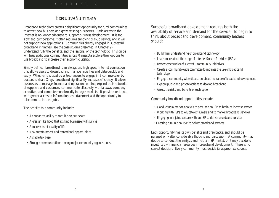## *Executive Summary*

Broadband technology creates a significant opportunity for rural communities to attract new business and grow existing businesses. Basic access to the Internet is no longer adequate to support business development. It is too slow and cumbersome; it often requires annoying dial-up service; and it will not support new applications. Communities already engaged in successful broadband initiatives (see the case studies presented in Chapter 9) understand fully the benefits, and the lessons, of the technology. This guide will help additional communities across Minnesota explore their options to use broadband to increase their economic vitality.

Simply defined, broadband is an always-on, high-speed Internet connection that allows users to download and manage large files and data quickly and easily. Whether it is used by entrepreneurs to engage in E-commerce or by doctors to share X-rays, broadband significantly increases efficiency. It allows businesses to manage finances and operations on-line, expand their networks of suppliers and customers, communicate effectively with far-away company executives and compete more broadly in larger markets. It provides residents with greater access to information, entertainment and the opportunity to telecommute in their jobs.

The benefits to a community include:

- *An enhanced ability to recruit new businesses*
- *A greater likelihood that existing businesses will survive*
- *A more vibrant quality of life*
- *New entertainment and recreational opportunities*
- *A stable tax base*
- *Stronger communications among major community organizations*

Successful broadband development requires both the availability of service and demand for the service. To begin to think about broadband development, community leaders should:

- *Build their understanding of broadband technology*
- *Learn more about the range of Internet Service Providers (ISPs)*
- *Review case studies of successful community initiatives*
- *Create a community-wide committee to increase the use of broadband technology*
- *Engage a community-wide discussion about the value of broadband development*
- *Explore public and private options to develop broadband*
- *Assess the risks and benefits of each option*

Community broadband opportunities include:

- *Conducting a market analysis to persuade an ISP to begin or increase service*
- *Working with ISPs to educate consumers and to market broadband services*
- *Engaging in a joint venture with an ISP to deliver broadband services*
- *•Creating a municipal ISP to deliver broadband services*

Each opportunity has its own benefits and drawbacks, and should be pursued only after considerable thought and discussion. A community may decide to conduct the analysis and help an ISP market, or it may decide to invest its own financial resources in broadband development. There is no correct decision. Every community must decide its appropriate course.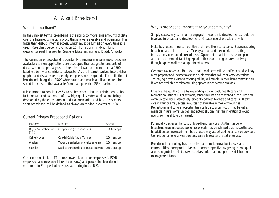## *All About Broadband*

## What is broadband?

In the simplest terms, broadband is the ability to move large amounts of data over the Internet using technology that is always available and operating. It is faster than dial-up Internet access, which must be turned on every time it is used. (See chart below and Chapter 10. For a truly mind-numbing experience, read *The Essential Guide to Telecommunications*, Dodd, Anabel.)

The definition of broadband is constantly changing as greater speed becomes available and new applications are developed that use greater amounts of data. When the primary use of the Internet was to transmit text, a 9600 baud modem was considered adequate. As the Internet evolved into a richer graphic and visual experience, higher speeds were required. The definition of broadband changed to 256K when sound and music applications required speed in excess of that available from dial-up service (56K maximum).

It is common to consider 256K to be broadband, but that definition is about to be reevaluated as a result of new high-quality video applications being developed by the entertainment, education/training and business sectors. Soon broadband will be defined as always-on service in excess of 750K.

## Current Primary Broadband Options

| Platform                         | <b>Medium</b>                             | Speed       |
|----------------------------------|-------------------------------------------|-------------|
| Digital Subscriber Line<br>(DŠL) | Copper wire (telephone line)              | 128K-6Mbps  |
| Cable Modem                      | Coaxial Cable (cable TV line)             | 256K and up |
| <b>Wireless</b>                  | Tower transmission to on-site antenna     | 256K and up |
| <b>Satellite</b>                 | Satellite transmission to on-site antenna | 256K and up |

Other options include T1 (more powerful, but more expensive), ISDN (expensive and now considered to be slow) and power line broadband (common in Europe, but now just appearing in the US).

## Why is broadband important to your community?

Simply stated, any community engaged in economic development should be involved in broadband development. Greater use of broadband will:

Make businesses more competitive and more likely to expand. *Businesses using broadband are able to increase efficiency and expand their markets, resulting in increased revenues and decreased costs. Opportunities will increase as companies are able to transmit data at high speeds rather than relying on slower delivery through express mail or dial-up Internet access.* 

Generate tax revenue. *Businesses that remain competitive and/or expand will pay more property and income taxes than businesses that reduce or cease operations. Tax-paying citizens, especially young adults, will remain in their home communities if jobs are available or telecommuting opportunities become available.*

Enhance the quality of life by expanding educational, health care and recreational services. *For example, schools will be able to expand curriculum and communicate more interactively, especially between teachers and parents. Health care institutions may access resources not available in their communities. Recreational and cultural opportunities available to urban youth may be just as available in rural communities (and potentially diminish the migration of young adults from rural to urban areas).*

Potentially decrease the cost of broadband services. *As the number of broadband users increases, economies of scale may be achieved that reduce the cost. In addition, an increase in numbers of users may attract additional service providers. Competition among service providers generally reduces the cost of service.*

Broadband technology has the potential to make rural businesses and communities more productive and more competitive by giving them equal access to global markets, raw materials, information, specialized labor and management tools.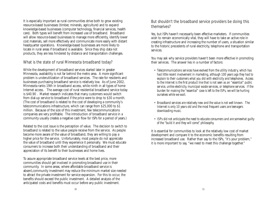It is especially important as rural communities strive both to grow existing resource-based businesses (timber, minerals, agriculture) and to expand knowledge-based businesses (computer technology, financial services, health care). Both types will benefit from increased use of broadband. Broadband will allow resource-based businesses to manage more efficiently, identify lower cost materials, sell more effectively and communicate more easily with distant headquarter operations. Knowledge-based businesses are more likely to locate in rural areas if broadband is available. Since they ship data not products, they are less hindered by distance and transportation challenges.

## What is the state of rural Minnesota broadband today?

While the development of broadband services started later in greater Minnesota, availability is not far behind the metro area. A more significant problem is underutilization of broadband services. The rate for residents and businesses purchasing broadband service is relatively low. As of June 2002, Minnesota ranks 19th in broadband access, while ninth in all types of home Internet access. The average cost of rural residential broadband service today is \$40.90 . Market research indicates that many customers would switch from dial-up service to broadband if the price were to drop to \$30 a month. (The cost of broadband is related to the cost of developing a community's telecommunications infrastructure, which can range from \$25,000 to \$1 million. Because of the size of this investment, few telecommunications companies are very profitable. The introduction of broadband service in a community usually creates a negative cash flow for ISPs for a period of years.)

Related to the cost issue is the perception of value. The decision to switch to broadband is related to the value people receive from the service. As people become more aware of the value of broadband, they are willing to pay a higher price for the service. Unfortunately, most people do not appreciate the value of broadband until they experience it personally. We must educate consumers to increase both their understanding of broadband and their appreciation of its benefit to their businesses and home lives.

To assure appropriate broadband service levels at the best price, more communities should get involved in promoting broadband use in their community. In some areas, where affordable broadband service is absent,community investment may reduce the minimum market size needed to attract the private investment for service expansion. For this to occur, the benefits should exceed the public investment. A detailed analysis of the anticipated costs and benefits must occur before any public investment.

## But shouldn't the broadband service providers be doing this themselves?

Yes, but ISPs haven't necessarily been effective marketers. If communities wish to remain economically vital, they will have to take an active role in creating infrastructure and increasing the number of users, a situation similar to the historic precedents of rural electricity, telephone and transportation services.

You may ask why service providers haven't been more effective in promoting their services. The answer lies in a number of factors:

- *Telecommunications services have evolved from the utility industry, which has had little recent involvement in marketing, although 100 years ago they had to explain to their customers what you did with electricity and telephones. Access to the Internet is the first product line that is not seen as an "essential" public service, unlike electricity, municipal waste services, or telephone services. If the burden for making the "essential" case is left to the ISPs, we will be hurting ourselves while we wait.*
- *Broadband services are relatively new and the value is not well known. The Internet is only 10 years old and the most frequent users are teenagers downloading music.*
- *ISPs did not anticipate the need to educate consumers and are somewhat guilty of the "build it and they will come" philosophy.*

It is essential for communities to look at the relatively low cost of market development and compare it to the economic benefits resulting from increased broadband use. Rather than say to the ISPs, "it's your problem," it is more important to say, "we need to meet this challenge together."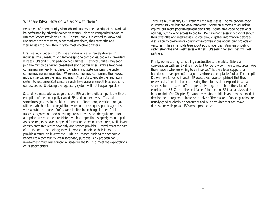## What are ISPs? How do we work with them?

Regardless of a community's broadband strategy, the majority of the work will be performed by privately owned telecommunication companies known as Internet Service Providers (ISPs). Consequently, it is critical to know and understand what they are, what motivates them, their strengths and weaknesses and how they may be most effective partners.

First, we must understand ISPs as an industry are extremely diverse. It includes small, medium and large telephone companies, cable TV providers, wireless ISPs and municipally owned utilities. Electrical utilities may soon join the mix by delivering broadband along power lines. While telephone companies are heavily regulated by federal and state agencies, the cable companies are less regulated. Wireless companies, comprising the newest industry sector, are the least regulated. Attempts to update the regulatory system to recognize 21st century needs have gone as smoothly as updating our tax codes. Updating the regulatory system will not happen quickly.

Second, we must acknowledge that the ISPs are for-profit companies (with the exception of the municipally owned ISPs and cooperatives). This fact sometimes gets lost in the historic context of telephone, electrical and gas utilities, which before deregulation were considered quasi-public agencies with a public purpose. Profits were limited in exchange for beneficial franchise agreements and operating protections. Since deregulation, profits and prices are much less restricted, while competition is openly encouraged. As expected, ISPs have competed for market share in urban areas, while lower density areas frequently have only one service provider. Regardless of the size of the ISP or its technology, they all are accountable to their investors to provide a return on investment. Public purposes, such as the economic benefits to a community, are a secondary purpose. Any proposal for ISP involvement must make financial sense for the ISP and meet the expectations of its stockholders.

Third, we must identify ISPs strengths and weaknesses. Some provide good customer service, but are weak marketers. Some have access to abundant capital, but make poor investment decisions. Some have good operational abilities, but have no access to capital. ISPs are not necessarily candid about their strengths and weaknesses, so you should gather information before a discussion to create more constructive conversations about joint projects or ventures. The same holds true about public agencies. Analysis of public sector strengths and weaknesses will help ISPs search for and identify ideal partners.

Finally, we must bring something constructive to the table. Before a conversation with an ISP, it is important to identify community resources. Are there leaders who are willing to be involved? Is there local support for broadband development? Is a joint venture an acceptable "cultural" concept? Do we have funds to invest? ISP executives have complained that they receive calls from local officials asking them to install or expand broadband services, but the callers offer no persuasive argument about the value of the effort to the ISP. One of the best "assets" to offer an ISP is an analysis of the local market (See Chapter 5). Another modest public investment is a market development program to increase the size of the market. Public agencies are usually good at obtaining consumer and business data that can make discussions with private ISPs more productive.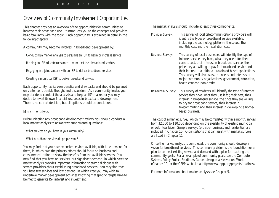# *Overview of Community Involvement Opportunities*

This chapter provides an overview of the opportunities for communities to increase their broadband use. It introduces you to the concepts and provides basic familiarity with the topic. Each opportunity is explained in detail in the following chapters.

A community may become involved in broadband development by:

- *Conducting a market analysis to persuade an ISP to begin or increase service*
- *Helping an ISP educate consumers and market their broadband services*
- *Engaging in a joint venture with an ISP to deliver broadband services*
- *Creating a municipal ISP to deliver broadband services*

Each opportunity has its own benefits and drawbacks and should be pursued only after considerable thought and discussion. As a community leader, you may decide to conduct the analysis and help an ISP market, or you may decide to invest its own financial resources in broadband development. There is no correct decision, but all options should be considered.

## Market Analysis

Before initiating any broadband development activity, you should conduct a local market analysis to answer two fundamental questions:

- *What services do you have in your community?*
- *What broadband services do people want?*

You may find that you have extensive services available, with little demand for them, in which case the primary efforts should focus on business and consumer education to show the benefits from the available services. You may find that you have no services, but significant demand, in which case the market analysis provides important information to start a dialogue with service providers about establishing broadband services. You may find that you have few services and low demand, in which case you may wish to undertake market development activities knowing that specific targets have to be met to generate ISP interest and investment.

The market analysis should include at least three components:

Provider Survey: This survey of local telecommunications providers will identify the types of broadband service available, including the technology platform, the speed, the monthly cost and the installation cost.

Business Survey: This survey of local businesses will identify the type of Internet service they have, what they use it for, their current cost, their interest in broadband service, the price they are willing to pay for broadband service and their interest in additional broadband-based applications. This survey will also assess the needs and interests of major community organizations, government, education, health care and non-profits.

Residential Survey: This survey of residents will identify the type of Internet service they have, what they use it for, their cost, their interest in broadband service, the price they are willing to pay for broadband service, their interest in telecommuting and their interest in developing a homebased business.

The cost of a market survey, which may be completed within a month, ranges from \$2,000 to \$10,000 depending on the availability of existing municipal or volunteer labor. Sample surveys (provider, business and residential) are included in Chapter 10. Organizations that can assist with market surveys are listed in Chapter 11.

Once the market analysis is completed, the community should develop a vision for broadband services. This community vision is the foundation for a plan to connect existing service and demand with a plan for reaching the community goals. For an example of community goals, see the Computer Systems Policy Project Readiness Guide, Living in a Networked World (Chapter 10) or the CSPP Web site at http://www.cspp.org/projects/readiness.

For more information about market analysis see Chapter 5.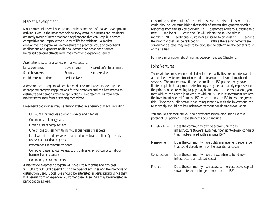## Market Development

Most communities will need to undertake some type of market development activity. Even in the most technology-savvy areas, businesses and residents are rarely aware of new broadband applications that can keep businesses competitive and improve the quality of life for residents. A market development program will demonstrate the practical value of broadband applications and generate additional demand for broadband service. Increased demand attracts new investment and expanded service.

Applications exist for a variety of market sectors:

| Large businesses         | Governments     | Recreation/Entertainment |
|--------------------------|-----------------|--------------------------|
| Small businesses         | <b>Schools</b>  | Home services            |
| Health care institutions | Senior citizens |                          |

A development program will enable market sector leaders to identify the appropriate programs/applications for their markets and the best means to distribute and demonstrate the applications. Representatives from each market sector may form a steering committee.

Broadband capabilities may be demonstrated in a variety of ways, including:

- *CD ROMs that include application demos and tutorials*
- *Community technology fairs*
- *Open houses at computer labs*
- *One-on-one counseling with individual businesses or residents*
- *Local Web sites and newsletters that direct users to applications (preferably reviewed at broadband speeds)*
- *Presentations at community events*
- *Computer classes at local venues, such as libraries, school computer labs or business training centers*
- *Community education classes*

A market development program will take 1 to 6 months and can cost \$10,000 to \$30,000 depending on the types of activities and the methods of distribution used. Local ISPs should be interested in participating, since they will benefit from an expanded customer base. New ISPs may be interested in participation as well.

Depending on the results of the market assessment, discussions with ISPs could also include establishing thresholds of interest that generate specific responses from the service provider. "If \_\_ customers agree to subscribe to a new \_\_\_ service at \_\_\_ cost, the ISP will initiate the service within \_\_\_ months." "If \_\_\_ additional customers subscribe to an existing \_\_\_\_ service, the monthly cost will be reduced to \_\_\_\_..." While these arrangements are somewhat delicate, they need to be discussed to determine the benefits for all of the parties.

For more information about market development see Chapter 6.

### Joint Ventures

There will be times when market development activities are not adequate to attract the private investment needed to develop the desired broadband services. The market may still be too small; the ISP partners may have limited capital; the appropriate technology may be particularly expensive; or the price people are willing to pay may be too low. In these situations, you may wish to consider a joint venture with an ISP. Public investment reduces the investment needed from the ISP, which allows the ISP to assume greater risk. Since the public sector is assuming some risk with the investment, the relationship should not be undertaken without considerable evaluation.

You should first evaluate your own strengths before discussions with a potential ISP partner. These strengths could include:

Infrastructure Does the community own telecommunications infrastructure (towers, switches, fiber, right-of-way, conduit) that maybe shared with a private ISP? Management Does the community have utility management experience that could absorb some of the operational costs? Construction Does the community have the expertise to build new infrastructure at reduced costs? Finance Does the community have access to more attractive capital (lower rate and/or longer term) than the ISP?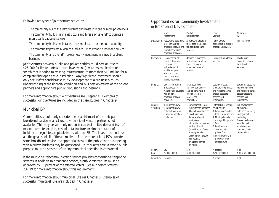Following are types of joint venture structures:

- *The community builds the infrastructure and leases it to one or more private ISPs*
- *The community builds the infrastructure and hires a private ISP to operate a municipal broadband service.*
- *The community builds the infrastructure and leases it to a municipal utility.*
- *The community provides a loan to a private ISP to expand broadband service.*
- *The community and the ISP make an equity investment in a new broadband business.*

Joint ventures between public and private entities could cost as little as \$25,000 for limited infrastructure investment (a wireless application or a switch that is added to existing infrastructure) to more than \$10 million for a complete fiber optic cable installation. Any significant investment should only occur after considerable study, development of a business plan, an understanding of the financial condition and business objectives of the private partners and appropriate public discussions and hearings.

For more information about joint ventures see Chapter 7. Examples of successful joint ventures are included in the case studies in Chapter 9.

## Municipal ISP

Communities should only consider the establishment of a municipal broadband service as a last resort when a joint venture partner is not available. This may be your only option because of limited demand (size of market), remote location, cost of infrastructure, or simply because of the inability to negotiate acceptable terms with an ISP. The investment and risk are the greatest of all of the alternatives. Furthermore, if local ISPs provide some broadband service, the appropriateness of the public sector competing with a private business may be questioned. In this latter case, a strong public purpose must be present before any municipal operation is considered.

If the municipal telecommunication service provides conventional telephone services in addition to broadband service, a public referendum must be approved by 65 percent of the affected voters. See Minnesota Statutes 237.19 for more information about this requirement.

For more information about municipal ISPs see Chapter 8. Examples of successful municipal ISPs are included in Chapter 9.

## Opportunities for Community Involvement in Broadband Development

|                              | Market<br>Assessment                                                                                                                                             | Market<br>Development                                                                                                                                                                                                                                                                                              | Joint<br>Venture                                                                                                                                                                                                                                                           | Municipal<br><b>ISP</b>                                                                                                                                                             |
|------------------------------|------------------------------------------------------------------------------------------------------------------------------------------------------------------|--------------------------------------------------------------------------------------------------------------------------------------------------------------------------------------------------------------------------------------------------------------------------------------------------------------------|----------------------------------------------------------------------------------------------------------------------------------------------------------------------------------------------------------------------------------------------------------------------------|-------------------------------------------------------------------------------------------------------------------------------------------------------------------------------------|
| Description                  | Research to determine<br>local demand for<br>broadband service and<br>to evaluate existing<br>broadband services.                                                | A marketing program<br>to increase the demand<br>for local broadband<br>services.                                                                                                                                                                                                                                  | Public-private<br>partnership to expand<br>broadband services.                                                                                                                                                                                                             | Publicly owned                                                                                                                                                                      |
| Outcomes                     | Quantification of<br>demand (how many<br>businesses and<br>residents want it<br>at different price<br>levels) and how<br>that compares to<br>available services. | Demand is increased,<br>which should result in<br>lower cost and/or<br>expanded levels of<br>services.                                                                                                                                                                                                             | Expanded broadband<br>services.                                                                                                                                                                                                                                            | Local public<br>ownership of new<br>broadband<br>services.                                                                                                                          |
| <b>Benefits</b>              | Critical information<br>is developed for<br>meaningful discussions<br>with potential<br>broadband service<br>providers.                                          | Local businesses<br>are more competitive,<br>and residents have a<br>greater access to<br>services and<br>information.                                                                                                                                                                                             | Local businesses<br>are more competitive,<br>and residents have a<br>greater access to<br>services and<br>information.                                                                                                                                                     | Local businesses are<br>more competitive,<br>and residents have a<br>greater access to<br>services and<br>information.                                                              |
| Primary<br><b>Activities</b> | 1. Business survey<br>2. Resident survey<br>3. Broadband service<br>provider telephone<br>interview                                                              | 1. Development of local<br>committees to approach<br>different market niches<br>2. Distribution and<br>demonstration of<br>services and<br>information accessible<br>via broadband<br>3. Quantification of new<br>market potential<br>4. Dialogue with existing<br>and potential<br>broadband service<br>providers | Potential joint ventures<br>could include:<br>1. Public infrastructure<br>leased to private firms<br>2. Municipal assets<br>managed by private<br>firm<br>3. Public equity<br>investment in<br>private firm<br>4. Public financing of<br>privately owned<br>infrastructure | Full development<br>of municipal<br>enterprise, including<br>management,<br>marketing,<br>finance, technology<br>selection and<br>acquisition, and<br>commencement<br>of operations |
| Relative<br>Cost             | low<br>\$2,000-10,000                                                                                                                                            | Low<br>\$10,000-30,000                                                                                                                                                                                                                                                                                             | Moderate<br>\$25K -1,000,000                                                                                                                                                                                                                                               | High<br>$$100K-> $1,000,000$                                                                                                                                                        |
| Public Risk                  | Nominal                                                                                                                                                          | Low                                                                                                                                                                                                                                                                                                                | Moderate                                                                                                                                                                                                                                                                   | High                                                                                                                                                                                |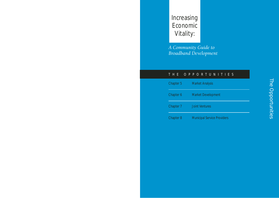# Increasing Economic Vitality:

*A Community Guide to Broadband Development*

## THE OPPORTUNITIES

| Chapter 5        | <b>Market Analysis</b>             |  |
|------------------|------------------------------------|--|
| Chapter 6        | <b>Market Development</b>          |  |
| Chapter 7        | <b>Joint Ventures</b>              |  |
| <b>Chapter 8</b> | <b>Municipal Service Providers</b> |  |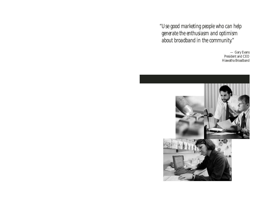*"Use good marketing people who can help generate the enthusiasm and optimism about broadband in the community."*

> — Gary Evans President and CEO Hiawatha Broadband

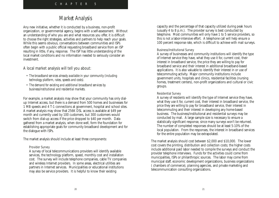## *Market Analysis*

Any new initiative, whether it is conducted by a business, non-profit organization, or governmental agency, begins with a self-assessment. Without an understanding of who you are and what resources you offer, it is difficult to choose the right strategies, activities and partners to help reach your goals. While this seems obvious, conversations between communities and ISPs often begin with a public official requesting broadband service from an ISP resulting in little, if any, response. The ISP has little understanding of the local market conditions and no information needed to seriously consider an investment.

#### A local market analysis will tell you about:

- *The broadband services already available in your community (including technology platform, rates, speeds and costs).*
- *The demand for existing and additional broadband services by business/institutional and residential markets.*

For example, a market analysis may show that your community has only dialup Internet access, but there is a demand from 500 homes and businesses for 1 MB speeds and 4 T-1 connections at government, hospital and school sites. A market analysis may show that 256K DSL access is available at \$49 per month and currently used by 100 customers, but 300 customers would switch from dial-up access if the price dropped to \$40 per month. Data gathered from a market analysis, when done well, form the foundation for establishing appropriate goals for community broadband development and for the dialogue with ISPs.

The market analysis should include at least three components:

#### Provider Survey

A survey of local telecommunications providers will identify available services, the technology platform, speed, monthly cost and installation cost. The survey will include telephone companies, cable TV companies and wireless Internet providers. In some areas, electrical utilities are partners in Internet services. Municipalities or educational institutions may also be service providers. It is helpful to know their existing

capacity and the percentage of that capacity utilized during peak hours (usually 4 to 8 p.m.). The provider survey is best conducted by telephone. Most communities will only have 1 to 5 service providers, so this is not a labor-intensive effort. A telephone call will help ensure a 100 percent response rate, which is difficult to achieve with mail surveys.

#### Business/Institutional Survey

A survey of businesses and community institutions will identify the type of Internet service they have, what they use it for, current cost, their interest in broadband service, the price they are willing to pay for broadband service and their interest in additional broadband-based applications. It is also valuable to identify their interest in or use of telecommuting activity. Major community institutions include government units, hospitals and clinics, residential facilities (nursing homes, treatment centers), non-profit organizations and cultural or civic groups.

#### Residential Survey

A survey of residents will identify the type of Internet service they have, what they use it for, current cost, their interest in broadband service, the price they are willing to pay for broadband service, their interest in telecommuting and their interest in developing any home-based business. The business/institutional and residential surveys may be conducted by mail. A large sample size is necessary to ensure a statistically significant response, since many surveys won't be returned. The number of completed responses should be at least 5-10% of the local population. From the responses, the interest in broadband services for the entire population may be extrapolated.

The market analysis should cost between \$2,000 and \$10,000. The lower cost covers the printing, distribution and collection costs; the higher costs include additional paid labor needed to compile the surveys and conduct the provider telephone interviews. Funds for the activities could come from municipalities, ISPs or philanthropic sources. The labor may come from municipal staff, economic development organizations, business organizations ( chambers of commerce), planning agencies, and private marketing and telecommunication consulting organizations.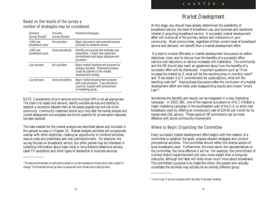## Based on the results of the survey a number of strategies may be considered.

| Demand<br><b>Survey Results</b> | Provider<br><b>Survey Results</b> | <b>Potential Strategies</b>                                                                                                            |
|---------------------------------|-----------------------------------|----------------------------------------------------------------------------------------------------------------------------------------|
| $>200$ new<br>broadband users   | No providers                      | Begin discussions with potential service<br>providers to establish service                                                             |
| $>300$ new<br>broadband users   | Some provider(s)                  | Identify price points that motivate new<br>subscribers. Collect new subscriber<br>commitments and begin dialogue with<br>providers.    |
| Low demand                      | No providers                      | Begin market development program to<br>develop demand. Potential providers<br>could be partners in the market<br>development activity. |
| Low demand                      | Some provider(s)                  | Begin market development program<br>with local providers. Cost reductions<br>could be coupled with achievement<br>of marketing goals.  |

*NOTE: Consideration of joint ventures and municipal ISPs is not yet appropriate. The intent is to assess local demand, identify available services and attempt to establish a connection between them at the lowest possible cost and risk to the community. Community investment should occur only after the market analysis and market development are completed and the full potential for private sector responses has been explored.*

The data needed for the market analysis are described above and included in the sample surveys in Chapter 10. Market analysis activities will occasionally overlap with other objectives, creating an opportunity to combine activities, reduce costs and potentially add new partners/funders. For example, the survey focuses on broadband service, but other parties may be interested in collecting information about basic local or long distance telephone service, cable TV operations and other types of residential or business services.

 $\overline{\phantom{a}}$ 

# *Market Development*

At this stage, you should have already determined the availability of broadband service, the level of broadband use, and business and residential interest in acquiring broadband service. A successful market development effort will involve all of the primary sectors and institutions in your community. Most communities, regardless of their current level of broadband service and demand, will benefit from a market development effort.

It is best to involve ISPs early in market development discussions to define objectives, costs, and to discuss how the benefits of a successful effort (service cost reductions or service increases) will materialize. The community and the ISP should also reach an agreement about how the benefits of a successful effort will be distributed. Important questions such as "if we increase the market by X, what will be the resulting drop in monthly costs?" and "if we obtain X or Y commitments for subscriptions, what will the resulting costs be?" Having these discussions after the conclusion of a market development effort will likely yield disappointing results and invoke "Irma's Law"6 .

Sometimes the benefits and results can be integrated in a new marketing campaign. In 2003, SBC, one of the regional successors to AT&T, initiated a major marketing campaign in the southeastern part of the U.S. to enlist new broadband users by offering an introductory rate of \$29.95 per month for its lowest level DSL service. These types of ISP promotions can be more effective with active community involvement.

## Where to Begin: Organizing the Committee

Every successful market development effort begins with the creation of a committee to establish the goals, prepare relevant strategies and conduct promotional activities. The committee should reflect the diverse sectors of local broadband users. Furthermore, the more senior the representatives on the committee, the more effective it will be. For example, the commitment of a school district superintendent will carry more weight than a computer instructor, although the latter will likely know much more about broadband. The committee's purpose is to create the vision; the people who actually undertake the activities may actually be an entirely different group.

 $\overline{\phantom{a}}$ 

*<sup>5</sup> The demand thresholds are estimations based on current broadband infrastructure costs, subject to change. The thresholds should go down as equipment and infrastructure costs go down.*

*<sup>6</sup> Irma's Law: A service is always worth less after it has been rendered.*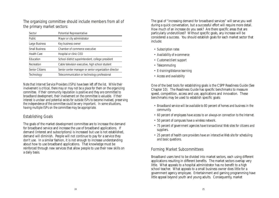The organizing committee should include members from all of the primary market sectors:

| <b>Potential Representative</b><br>Sector |                                                       |  |
|-------------------------------------------|-------------------------------------------------------|--|
| <b>Public</b>                             | Mayor or city administrator                           |  |
| Large Business                            | Key business owner                                    |  |
| <b>Small Business</b>                     | Chamber of commerce executive                         |  |
| <b>Health Care</b>                        | Hospital or clinic CEO                                |  |
| Education                                 | School district superintendent, college president     |  |
| Recreation                                | Cable television executive, high school student       |  |
| <b>Senior Citizens</b>                    | Senior center manager or senior organization director |  |
| Technology                                | Telecommunication or technology professional          |  |

*Note that Internet Service Providers (ISPs) have been left off the list. While their involvement is critical, there may or may not be a place for them on the organizing committee. If their community reputation is positive and they are committed to broadband development, their involvement on the committee is valuable. If their interest is unclear and potential exists for outside ISPs to become involved, preserving the independence of the committee could be very important. In some situations, having multiple ISPs on the committee may be appropriate.*

## Establishing Goals

The goals of the market development committee are to increase the demand for broadband service and increase the use of broadband applications. If demand (interest and subscriptions) is increased but use is not established, demand will diminish. People will not continue to pay for a service they don't use. In a similar fashion, it is not enough to increase understanding about how to use broadband applications. That knowledge must be reinforced through new services that allow people to use their new skills on a daily basis.

The goal of "increasing demand for broadband services" will serve you well during a quick conversation, but a successful effort will require more detail. How much of an increase do you seek? Are there specific areas that are particularly underutilized? Without specific goals, any increase will be considered a success. You should establish goals for each market sector that include:

- *Subscription rates*
- *Availability of e-commerce*
- *Customer/client support*
- *Telecommuting*
- *E-training/distance learning*
- *Access and availability*

One of the best tools for establishing goals is the CSPP Readiness Guide (See Chapter 10). The Readiness Guide has specific benchmarks to measure speed, competition, access and use, applications and innovation. These benchmarks may be used to establish specific goals:

- *Broadband service will be available to 80 percent of homes and business in the community.*
- *60 percent of employees have access to an always-on connection to the Internet.*
- *50 percent of campuses have a wireless network.*
- *75 percent of government agencies have transactional Web sites for citizens and suppliers.*
- *25 percent of health care providers have an interactive Web site for scheduling and basic questions.*

## Forming Market Subcommittees

Broadband users tend to be divided into market sectors, each using different applications resulting in different benefits. The market sectors overlap very little. What appeals to a hospital administrator has no benefit to a high school teacher. What appeals to a small business owner does little for a government agency employee. Entertainment and gaming programming have little appeal beyond youth and young adults. Consequently, market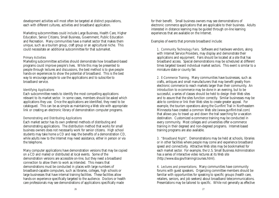development activities will most often be targeted at distinct populations, each with different cultures, activities and broadband application.

Marketing subcommittees could include Large Business, Health Care, Higher Education, Senior Citizens, Small Business, Government, Public Education and Recreation. Many communities have a market sector that makes them unique, such as a tourism group, craft group or an agricultural niche. This could necessitate an additional subcommittee for that submarket.

#### Primary Activities

Marketing subcommittee activities should demonstrate how broadband-based programs could improve people's lives. While this may be presented to people through lectures and discussions, the best method is to give people hands-on experiences to show the potential of broadband. This is the best way to encourage people to use the applications and to subscribe to broadband service.

#### Identifying Applications

Each subcommittee needs to identify the most compelling applications relevant to its market sector. In some cases, members should be asked which applications they use. Once the applications are identified, they need to be catalogued. This can be as simple as maintaining a Web site with appropriate link or creating an electronic library of demonstration computer programs.

#### Demonstrating and Distributing Applications

Each market sector has its own preferred methods of distributing and demonstrating applications. The distribution method that works for small business owners does not necessarily work for senior citizens. High school students may take home a CD and reap the benefits of a demonstration CD, while adults new to the Internet may need assistance, either in person or via the telephone.

Many computer applications have demonstration versions that may be copied on a CD and mailed or distributed at local events. Some of the demonstration versions are accessible on-line, but they need a broadband connection to allow them to work as intended. This means that demonstrations must be conducted in places with large numbers of broadband-capable computers, such as libraries, colleges, high schools or large businesses that have internal training facilities. These facilities allow hands-on experience specifically targeted to the audience. Doctors or health care professionals may see demonstrations of applications specifically made

for their benefit. Small business owners may see demonstrations of electronic commerce applications that are applicable to their business. Adults interested in distance learning may be guided through on-line learning experiences that are available on the Internet.

Examples of events that promote broadband include:

1. Community Technology Fairs. Software and hardware vendors, along with Internet Service Providers, may display and demonstrate their applications and equipment. Fairs should be located at a site that has broadband access. Special demonstrations may be scheduled at different times targeted toward individual market sectors. This event is similar to a miniature state or county fair.

2. E-Commerce Training. Many communities have businesses, such as crafts, antiques and small manufacturers that may benefit greatly from electronic commerce to reach markets larger than their community. An introduction to e-commerce may be done in an evening, but to be successful, a series of classes should be held to design their Web sites and to assure that the sites function correctly. Similar businesses may be able to combine or link their Web sites to create greater appeal. For example, the tourism operations along the Gunflint Trail in Northeastern Minnesota have created a common Web site (www.gunflint-trail.com) that allows you to travel up and down the trail searching for a vacation destination. Customized e-commerce training may be conducted in every community. Most colleges and universities offer e-commerce training in their degreed and non-degreed programs. Internet-based training programs are also available.

3. "Broadband Night". Demonstrations may be held at schools, libraries or in other facilities where people may come and experience broadband speed and connectivity. Attractive Web sites may be bookmarked for each market sector. For example, the U.S. Small Business Administration has a series of interactive video lectures at its Web site (http://www.sba.gov/training/courses.html).

4. Lectures and presentations. Many communities have community forums with guest speakers. Organizing committee members should be familiar with opportunities for speaking to specific groups (health care, retailers, seniors, and job seekers) about broadband telecommunications. Presentations may be tailored to specific. While not generally as effective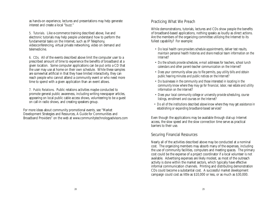as hands-on experience, lectures and presentations may help generate interest and create a local "buzz."

5. Tutorials. Like e-commerce training described above, live and electronic tutorials may help people understand how to perform the fundamental tasks on the Internet, such as IP Telephony, videoconferencing, virtual private networking, video on demand and telemedicine.

6. CDs. All of the events described above limit the computer user to a prescribed amount of time to experience the benefits of broadband at a given location. Some computer applications can be put onto a CD that the user may use at home on their own schedule. While these samples are somewhat artificial in that they have limited interactivity, they can reach people who cannot attend a community event or who need more time to spend with a given application than an event allows.

7. Public Relations. Public relations activities maybe conducted to promote general public awareness, including writing newspaper articles, appearing on local public cable access shows, volunteering to be a guest on call-in radio shows, and creating speakers group.

For more ideas about community promotional events, see "Market Development Strategies and Resources, A Guide for Communities and Broadband Providers" on the web at www.communitytechnologyadvisors.com

## Practicing What We Preach

While demonstrations, tutorials, lectures and CDs show people the benefits of broadband-based applications, nothing speaks as loudly as direct actions. Are the members of the organizing committee utilizing the Internet to its fullest capability? For example:

- *Do local health care providers schedule appointments, deliver test results, maintain personal health histories and share medical team information on the Internet?*
- *Do the schools provide schedules, e-mail addresses for teachers, school lunch calendars and other parent-teacher communication on the Internet?*
- *Does your community allow you to file permits, pay utility bills and obtain public hearing minutes and public notices on the Internet?*
- *Do businesses in the community and those interested in locating in the community know where they may go for financial, labor, real estate and utility information on the Internet?*
- *Does your local community college or university provide scheduling, course listings, enrollment and courses on the Internet?*
- *Do all of the institutions described above know where they may get assistance in establishing or expanding broadband-based services?*

Even though the applications may be available through dial-up Internet access, the slow speed and the slow connection time serve as practical barriers to their use.

## Securing Financial Resources

Nearly all of the activities described above may be conducted at a nominal cost. The organizing members may absorb many of the expenses, including the use of community facilities, computers and meeting spaces. The primary cost could be the expense of a project coordinator if a local volunteer is not available. Advertising expenses are likely modest, as most of the outreach activity is done within the market sectors, which typically have effective informal communication channels. Printing and distributing demonstration CDs could become a substantial cost. A successful market development campaign could cost as little as \$10,000 or less, or as much as \$30,000.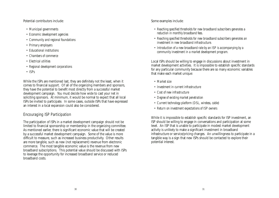Potential contributors include:

- *Municipal governments*
- *Economic development agencies*
- *Community and regional foundations*
- *Primary employers*
- *Educational institutions*
- *Chambers of commerce*
- *Electrical utilities*
- *Regional development corporations*
- *ISPs*

While the ISPs are mentioned last, they are definitely not the least, when it comes to financial support. Of all of the organizing members and sponsors, they have the potential to benefit most directly from a successful market development campaign. You must decide how wide to cast your net in soliciting sponsors. At minimum, it would be normal to expect that all local ISPs be invited to participate. In some cases, outside ISPs that have expressed an interest in a local expansion could also be considered.

## Encouraging ISP Participation

The participation of ISPs in a market development campaign should not be limited to financial sponsorship or membership in the organizing committee. As mentioned earlier, there is significant economic value that will be created by a successful market development campaign. Some of the value is more difficult to measure, such as increased business productivity. Other results are more tangible, such as new (not replacement) revenue from electronic commerce. The most tangible economic value is the revenue from new broadband subscriptions. This potential value should be discussed with ISPs to leverage the opportunity for increased broadband service or reduced broadband costs.

Some examples include:

- *Reaching specified thresholds for new broadband subscribers generates a reduction in monthly broadband fees.*
- *Reaching specified thresholds for new broadband subscribers generates an investment in new broadband infrastructure.*
- *Introduction of a new broadband rate by an ISP is accompanying by a community investment in a market development program.*

Local ISPs should be willing to engage in discussions about investment in market development activities. It is impossible to establish specific standards for any particular community because there are so many economic variables that make each market unique:

- *Market size*
- *Investment in current infrastructure*
- *Cost of new infrastructure*
- *Degree of existing market penetration*
- *Current technology platform (DSL, wireless, cable)*
- *Return on investment expectations of ISP owners*

While it is impossible to establish specific standards for ISP investment, an ISP should be willing to engage in conversations and participation at some level. An ISP that is unable to participate in modest market development activity is unlikely to make a significant investment in broadband infrastructure or service/pricing changes. An unwillingness to participate in a tangible way is a sign that new ISPs should be contacted to explore their potential interest.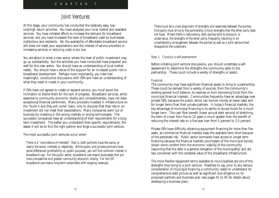## *Joint Ventures*

At this stage, your community has conducted the relatively easy, lowcost/high return activities. You have analyzed your local market and available services. You have initiated efforts to increase the demand for broadband services, and you have increased the level of broadband used by businesses, institutions and residents. Yet, the availability of affordable broadband service still does not meet your expectations and the interest of service providers in increasing services or reducing costs is too low.

You are about to enter a new arena, where the level of public investment may go up substantially. But the activities you have conducted have prepared you well for this new arena. You should have an understanding of local market needs. You should have a sense of the support for an increased public role in broadband development. Perhaps most importantly, you have had meaningful, constructive discussions with ISPs and have an understanding of what they need to invest in your community.

If ISPs have not agreed to create or expand service, you must avoid the inclination to blame them for the lack of progress. Broadband services, while essential to community economic vitality and competitiveness, have not been exceptional financial performers. Many providers invested in infrastructure on the "build it and they will come" basis, only to discover that their return on investment did not meet their expectations. Many companies went out of business by investing in the wrong markets or wrong technologies. The successful companies have an understanding of their requirements for a longterm investment. The better you understand their specific requirements, the easier it will be to find the right partner and forge a successful joint venture.

The most successful joint ventures occur when:

*There is a "coincidence of interests", that is, both partners have the same, or nearly the same, interests or objectives. While public and private partners have some differences (profitability vs. public purpose), you will find common interest in broadband use. For the public sector, broadband use means businesses that are more competitive and greater community economic vitality. For the ISP, broadband use means long-term subscribers with ongoing revenues.*

*There must be a cross-alignment of strengths and weakness between the parties. One party must bring to the partnership critical strengths that the other party does not have. Where there is redundancy, both parties tend to discount, or undervalue, the strengths of the other party, frequently resulting in an unsatisfactory arrangement between the parties as well as a joint venture that disappoints the customers.*

#### Step 1. Conduct a self-assessment

Before initiating joint venture discussions, you should undertake a selfassessment to determine the strengths the community adds to the partnership. These could include a variety of strengths or assets.

#### Financial

The community may have significant financial assets to bring to a partnership. These could be derived from a variety of sources, from the community's existing general fund balance, its reserves or from borrowing funds from the municipal financial markets. Communities frequently have an advantage over private ISPs, because the public sector can borrow money at lower rates and for longer terms than their private partners. In today's financial markets, the key advantage of municipal financing is its ability to access funds for a much longer term. The cash flow benefit (lower annual debt service) of stretching the term of a loan from five to 10 years is much greater than the benefit of reducing the interest rate on a five-year loan from 5 percent to 3.5 percent.

Private ISPs have difficulty obtaining equipment financing for more than five years, as commercial financial markets keep the available term short because of the perceived risk. Public sector borrowers have access to longer term financing because the financial markets (purchasers of the municipal bonds) obtain some comfort from the economic viability of the community (assuming that the debt is a general obligation of the municipality) and are less concerned with the collateral value of the broadband infrastructure.

The more flexible repayment terms available to municipalities are one of the strengths they bring to a joint venture. Needless to say, prior to any serious consideration of municipal financing a community needs to understand its comprehensive debt picture as well as significant due diligence on its proposed partners and business plan (see pages 41 to 45 for details about developing a business plan).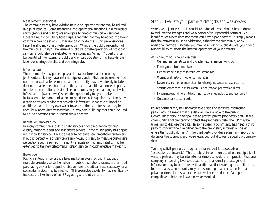#### Management/Operations

The community may have existing municipal operations that may be utilized in a joint venture. Some managerial and operational functions in a municipal utility (service and billing) are analogous to telecommunication services. Does the municipal utility have surplus capacity that may be added at a lower cost for a new operation? Just as importantly, do the municipal operations have the efficiency of a private operation? What is the public perception of the municipal utility? The value of public vs. private operations of broadband services should also be evaluated, where countless "what if?" questions can be quantified. For example, public and private operations may have different labor costs, fringe benefits and operating rules.

#### Infrastructure

The community may possess physical infrastructure that it can bring to a joint venture. It may have installed pipe or conduit that can be used for fiber optic or coaxial cable. A municipal electric utility may have already installed fiber optic cable to electrical substations that has additional unused capacity for telecommunications service. The community may be planning to develop infrastructure (water, sewer) where the opportunity to synchronize the installation of telecommunications may reduce costs significantly. It may own a cable television service that has cable infrastructure capable of handling additional data. It may own water towers or other structures that may be used for wireless data transmission. It may own buildings that could be used to house operations and dispatch service centers.

#### Reputation/Marketability

In many communities, public utility services have a reputation for high quality, reasonable cost and responsive service. If the municipality has a good reputation for service, it will be easier to generate new broadband customers. If public perceptions of service are unknown, it is easy to measure customer's perceptions with a survey. The utility's reputation, at least initially, may be extended to the new telecommunication service through effective marketing.

#### Brokerage

Public institutions represent a large market in every region. Frequently, multiple providers serve the region. If public institutions aggregate their local purchasing power for a specific joint venture, the critical mass necessary for a successful project may be reached. This expanded capability may significantly increase the likelihood of an ISP agreeing to a joint venture.

## Step 2. Evaluate your partner's strengths and weaknesses

Whenever a joint venture is considered, due diligence should be conducted to evaluate the strengths and weaknesses of your potential partners. An identified weakness does not mean you have a poor partner. It simply means that the weakness must be addressed, either by the community or by additional partners. Because you may be investing public dollars, you have a responsibility to assess the internal operations of your partners.

At minimum you should discover:

- *Current financial status and projected future financial condition*
- *Management team members*
- *Key personnel assigned to your local expansion*
- *Operational history in other communities*
- *References from other municipalities where joint ventures have occurred*
- *Startup experience in other communities (market penetration rates)*
- *Experience with different telecommunications technologies and equipment*
- *Customer service standards*

Private partners may be uncomfortable disclosing sensitive information, particularly if it means that the data will be available to the public. Communities vary in their policies to protect private proprietary data. If the community's policies cannot protect the proprietary data, the ISP may be unwilling to disclose the data. In some cases, a community has hired a third party to conduct the due diligence so the proprietary information never enters the "public domain." The third party provides a summary report that describes the strengths and weaknesses without disclosing specific proprietary data.

You may solicit partners through a formal request for proposals or "expressions of interest." This is helpful in communities where multiple joint venture partners may be interested or simply to avoid the impression that one company is receiving favorable treatment. In a formal process, general information may be requested with additional disclosure required of finalists. In other cases, a community may be responding to a solicitation from a private partner. In this latter case, you will need to decide if an open competitive solicitation is warranted or required.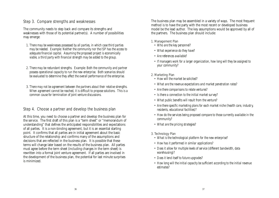## Step 3. Compare strengths and weaknesses

The community needs to step back and compare its strengths and weaknesses with those of its potential partner(s). A number of possibilities may emerge:

- *1. There may be weaknesses possessed by all parties, in which case third parties may be needed. Example: Neither the community nor the ISP has the access to adequate financial capital. Assuming the proposed project is economically viable, a third party with financial strength may be added to the group.*
- *2. There may be redundant strengths. Example: Both the community and partner possess operational capacity to run the new enterprise. Both scenarios should be evaluated to determine they affect the overall performance of the enterprise.*
- *3. There may not be agreement between the partners about their relative strengths. When agreement cannot be reached, it is difficult to propose solutions. This is a common cause for termination of joint venture discussions.*

## Step 4. Choose a partner and develop the business plan

At this time, you need to choose a partner and develop the business plan for the service. The first draft of this plan is a "term sheet" or "memorandum of understanding" that defines the anticipated responsibilities and expectations of all parties. It is a non-binding agreement, but it is an essential starting point. It confirms that all parties are in initial agreement about the basic structure of the relationship and confirms many of the assumptions and decisions that are reflected in the business plan. It is possible that these terms will change later based on the results of the business plan. All parties must agree before the term sheet (including changes in the term sheet) is rewritten into a formal joint venture agreement. If all parties are involved in the development of the business plan, the potential for last minute surprises is minimized.

The business plan may be assembled in a variety of ways. The most frequent method is to have the party with the most recent or developed business model be the lead author. The key assumptions would be approved by all of the partners. The business plan should include:

#### 1. Management Plan

- *Who are the key personnel?*
- *What experience do they have?*
- *Are references available?*
- *If managers work for a larger organization, how long will they be assigned to your community?*

#### 2. Marketing Plan

- *How will the market be solicited?*
- *What are the revenue expectations and market penetration rates?*
- *Are there comparisons to relate ventures?*
- *Is there a connection to the initial market survey?*
- *What public benefits will result from the venture?*
- *Are there specific marketing plans for each market niche (health care, industry, residents, educational facilities)?*
- *How do the services being proposed compare to those currently available in the community?*
- *What are the pricing strategies?*

#### 3. Technology Plan

- *What is the technological platform for the new enterprise?*
- *How has it performed in similar applications?*
- *Does it allow for multiple levels of service (different bandwidth, data warehousing)?*
- *Does it lend itself to future upgrades?*
- *How long will the initial capacity be sufficient according to the initial revenue estimates?*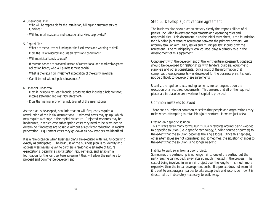#### 4. Operational Plan

- *Who will be responsible for the installation, billing and customer service functions?*
- *Will technical assistance and educational services be provided?*

#### 5. Capital Plan

- *What are the sources of funding for the fixed assets and working capital?*
- *Does the list of resources include all terms and conditions?*
- *Will municipal bonds be used?*
- *If revenue bonds are proposed instead of conventional and marketable general obligation bonds, who will purchase these bonds?*
- *What is the return on investment expectation of the equity investors?*
- *Can it be met without public investment?*

#### 6. Financial Pro-forma

- *Does it include a ten-year financial pro-forma that includes a balance sheet, income statement and cash flow statement?*
- *Does the financial pro-forma include a list of the assumptions?*

As the plan is developed, new information will frequently require a reevaluation of the initial assumptions. Estimated costs may go up, which may require a change in the capital structure. Projected revenues may be inadequate, in which case subscription costs may need to be examined to determine if increases are possible without a significant reduction in market penetration. Equipment costs may go down as new vendors are identified.

It is a rare occasion when business plans are executed with results occurring exactly as anticipated. The best use of the business plan is to identify and address weaknesses, give the partners a reasonable estimate of future expectations, determine capitalization requirements, and establish a foundation for the joint venture agreement that will allow the partners to proceed and commence development.

## Step 5. Develop a joint venture agreement

The business plan should articulate very clearly the responsibilities of all parties, including investment requirements and operating roles and responsibilities. This document, plus the initial term sheet, is the foundation for a binding joint venture agreement between the primary partners. An attorney familiar with utility issues and municipal law should draft the agreement. The municipality's legal counsel plays a primary role in the development of this agreement.

Concurrent with the development of the joint venture agreement, contracts should be developed for relationships with lenders, builders, equipment suppliers and other consultants. Since most of the information that comprises these agreements was developed for the business plan, it should not be difficult to develop these agreements.

Usually, the legal contracts and agreements are contingent upon the execution of all required documents. This ensures that all of the required pieces are in place before investment capital is provided.

## Common mistakes to avoid

There are a number of common mistakes that people and organizations may make when attempting to establish a joint venture. Here are just a few.

#### Fixating on a specific solution.

This mistake takes many forms, but it usually revolves around being wedded to a specific solution (i.e.-a specific technology, funding source or partner) to the extent that the solution becomes the single focus. Once this happens, other alternatives are not considered and sometimes, the situation changes to the extent that the solution is no longer relevant.

## Inability to walk away from a poor project.

Sometimes the partnership is no longer fair to one of the parties, but the party feels he cannot back away after so much invested in the process. The cost of being involved in an unfair project over the long term is much more expensive than the initial development costs. If a project does not seem fair, it is best to encourage all parties to take a step back and reconsider how it is structured or, if absolutely necessary, to walk away.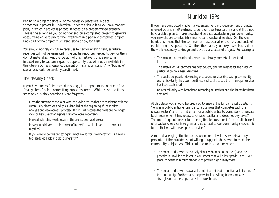#### Beginning a project before all of the necessary pieces are in place.

Sometimes, a project in undertaken under the "build it as you have money" plan, in which a project is phased in based on a predetermined scenario. This is fine as long as you do not depend on a completed project to generate adequate revenue to pay for the investment in a partially completed project. Each part of the project must stand alone or pay for itself.

You should not rely on future revenues to pay for existing debt, as future revenues will not be generated if the capital resources needed to pay for them do not materialize. Another version of this mistake is that a project is initiated early to capture a specific opportunity that will not be available in the future, such as cheaper equipment or installation costs. Any "buy now" scenarios should be carefully scrutinized.

## The "Reality Check"

If you have successfully reached this stage, it is important to conduct a final "reality check" before committing public resources. While these questions seem obvious, they occasionally are forgotten.

- *Does the outcome of the joint venture provide results that are consistent with the community objectives and goals identified at the beginning of the market analysis and development process? If not, is it because the goals are no longer valid or because other agendas became more important?*
- *Have all identified weaknesses in the project been addressed?*
- *Have you achieved a "coincidence of interest?" Will all parties succeed or fail together?*
- *If you were to do this project again, what would you do differently? Is it really too late to go back and do it differently?*

# *Municipal ISPs*

If you have conducted viable market assessment and development projects, engaged potential ISP partners, sought joint venture partners and still do not have a viable plan to make broadband services available in your community, you may choose to establish a municipal broadband service. On the one hand, this means that the community must bear all of the risks and costs of establishing this operation. On the other hand, you likely have already done the work necessary to design and develop a successful project. For example:

- *The demand for broadband services has already been established (and increased).*
- *The interest of ISP partners has been sought, and the reasons for their lack of participation have been identified.*
- *The public purpose for developing broadband services (increasing community economic vitality) has been identified, and public support for municipal services has been established.*
- *Basic familiarity with broadband technologies, services and challenges has been obtained.*

At this stage, you should be prepared to answer the fundamental questions, "why is a public entity entering into a business that competes with the private sector?" and "isn't it unfair for a public entity to compete with private businesses when it has access to cheaper capital and does not pay taxes?" The most frequent answer to these legitimate questions is "the public benefit of broadband service is so great and so critical to our community's economic future that we will develop this service."

A more challenging situation arises when some level of service is already present, but the provider is not willing to upgrade the service to meet the community's objectives. This could occur in situations where:

- *The broadband service is relatively slow (256K maximum speed) and the provider is unwilling to invest in equipment that will allow speeds up to 1 MB (soon to be the minimum standard to provide high quality video).*
- *The broadband service is available, but at a cost that is unattainable by most of the community. Furthermore, the provider is unwilling to consider any strategies or partnerships that will reduce the cost.*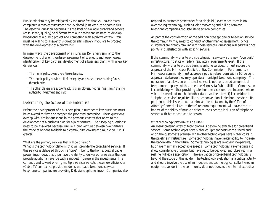Public criticism may be mitigated by the mere fact that you have already completed a market assessment and explored joint venture opportunities. The essential question becomes, "is the level of available broadband service (cost, speed, quality) so different from our needs that we need to develop broadband as a public project and competing with a private entity?" You must be willing to answer this question affirmatively if you are to proceed with the development of a private ISP.

In many ways, the development of a municipal ISP is very similar to the development of a joint venture (assessment of strengths and weaknesses, identification of key partners, development of a business plan.) with a few key differences:

- *The municipality owns the entire enterprise.*
- *The municipality provides all of the equity and raises the remaining funds through debt.*
- *The other players are subcontractors or employees, not real "partners" sharing authority, investment and risk.*

## Determining the Scope of the Enterprise

Before the development of a business plan, a number of key questions must be answered to frame or "scope" the proposed enterprise. These questions overlap with similar questions in the previous chapter that relate to the development of a business plan for a joint venture. The "scoping questions" need to be answered because, unlike a joint venture between two partners, the range of options available to a community looking at a municipal ISP is greater.

#### What are the primary services that will be offered?

What is the technology platform that will provide the broadband service? If this service is delivered through a "pipe" (fiber to the home, coaxial cable, power lines), does that pipe have the ability to deliver other services that can provide additional revenue with a modest increase in the investment? The current trend toward offering multiple services reflects these new efficiencies (Cable TV companies provide modems and basic telephone service; telephone companies are providing DSL via telephone lines). Companies also respond to customer preferences for a single bill, even when there is no overlapping technology, such as joint marketing and billing between telephone companies and satellite television companies.

As part of the consideration of the addition of telephone or television service, the community may need to conduct another market assessment. Since customers are already familiar with these services, questions will address price points and satisfaction with existing service.

If the community wishes to provide television service via the new "overbuilt" infrastructure, no state or federal regulatory requirements exist. If the community wishes to provide basic telephone services, it must secure the approval of the Minnesota Public Utilities Commission. Furthermore, a Minnesota community must approve a public referendum with a 65 percent approval rate before they may operate a municipal telephone company. The operation of a television or Internet service is not considered a municipal telephone company. At this time, the Minnesota Public Utilities Commission is considering whether providing telephone services over the Internet (where voice is transmitted much like other data over the Internet) is considered a "telephone service" regulated like other conventional telephone services. Its position on this issue, as well as similar interpretations by the Office of the Attorney General related to the referendum requirement, will have a major impact of the ability of municipalities to consider the inclusion of telephone service with broadband and television.

#### What technology platform will be used?

An ever-increasing array of technologies is becoming available for broadband service. Some technologies have higher equipment costs at the "head end" or on the customer's premise, while other technologies have higher costs in the pipeline infrastructure. Some technologies have greater ability to increase the bandwidth in the future. Some technologies are relatively inexpensive, but have minimally acceptable speeds. Some technologies are emerging and show considerable promise, but have yet to be deployed and observed in a real life, full-scale application. The evaluation of broadband technologies is beyond the scope of this guide. The technology evaluation is a critical activity and should involve the use of an independent technology consultant (not an equipment vendor) if the community does not possess the internal expertise.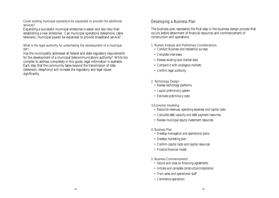#### Could existing municipal operations be expanded to provide the additional services?

Expanding a successful municipal enterprise is easier and less risky than establishing a new enterprise. Can municipal operations (telephone, cable television, municipal power) be expanded to provide broadband service?

### What is the legal authority for undertaking the development of a municipal ISP?

Has the municipality addressed all federal and state regulatory requirements for the development of a municipal telecommunications authority? While too complex to address completely in this guide, legal information is available. Each step that the community takes beyond the transmission of data (television, telephony) will increase the regulatory and legal issues significantly.

## Developing a Business Plan

The business plan represents the final step in the business design process that occurs before attainment of financial resources and commencement of construction and operations.

### 1. Market Analysis and Preliminary Considerations

- *Conduct Business and residential surveys*
- *Complete interviews*
- *Review existing local market data*
- *Compare it with analogous markets*
- *Confirm legal authority*
- 2. Technology Design
	- *Review technology platforms*
	- *Layout preliminary system*
	- *Estimate preliminary costs*

## 3.Economic modeling

- *Reconcile revenues, operating expenses and capital costs*
- *Calculate debt capacity and debt payment resources*
- *Review municipal equity investment resources*
- 4. Business Plan
	- *Develop managerial and operational plans*
- *Develop marketing plan*
- *Confirm capital costs and capital resources*
- *Finalize financial model*
- 5. Business Commencement
	- *Secure and close on financing agreements*
	- *Initiate and complete construction/installation*
	- *Train sales and operational staff*
	- *Commence operations*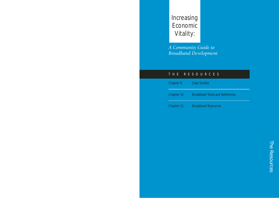# Increasing Economic Vitality:

*A Community Guide to Broadband Development*

## THE RESOURCES

Chapter 9 Case Studies Chapter 10 Broadband Tools and References

Chapter 11 Broadband Resources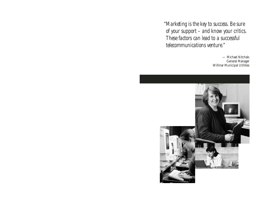*"Marketing is the key to success. Be sure of your support – and know your critics. These factors can lead to a successful telecommunications venture."*

> — Michael Nitchals General Manager Willmar Municipal Utilities

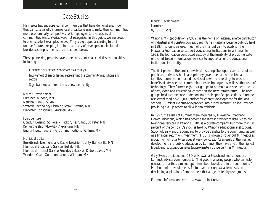# *Case Studies*

Minnesota has entrepreneurial communities that have demonstrated how they can successfully increase local broadband use to make their communities more economically competitive. With apologies to the successful communities whose stories were not recognized in this guide, we are proud to offer excellent examples below. They are grouped according to their unique features, keeping in mind that many of developments included broader accomplishments than described below.

These pioneering projects have some consistent characteristics and qualities, including:

- *One tenacious person who served as a catalyst*
- *Involvement of senior leaders representing the community institutions and sectors*
- *Significant support from the business community*

#### Market Development

Luminet, Winona, MN NetPlan, Pine City, MN Strategic Technology Planning Team, Luverne, MN PrarieNet Consortium, Marshall, MN

#### Joint Venture

Conduit Leasing, St. Peter – Hickory Tech, Inc., St. Peter, MN ISP Partnership, REA-ALP, Alexandria, MN Equity Investment, En-Tel Communications, Willmar, MN

#### Municipal Utility

Broadband, Telephone and Cable Television Utility, Barnesville, MN Municipal Broadband Service, Buffalo, MN Municipal Internet Service Provider, LakesNet, Detroit Lakes, MN Windom Cable Communications, Windom, MN

## Market Development Luminet Winona, MN

Winona, MN (population 27,069), is the home of Fastenal, a large distributor of industrial and construction supplies. When Fastenal became publicly held in 1987, its founders used much of the financial gain to establish the Hiawatha Foundation to support educational institutions in Winona. In 1992, the foundation conducted a study of the feasibility of providing stateof-the- art telecommunications services to support all of the educational institutions in the city.

The first phase of the project involved installing fiber-optic cable to all of the public and private schools and primary governmental and health care facilities. Luminet conducted a series of town hall meetings to present the benefits of advanced telecommunications technologies as well as other uses of technology. They formed eight user groups to promote and shepherd the use of data, video and educational content on the new infrastructure. The user groups held a conference to demonstrate their specific applications. Luminet also established a \$200,000 budget for content development for the local schools. Luminet eventually expanded into a local Internet Service Provider providing dial-up access to all Winona residents.

In 1997, the assets of Luminet were acquired by Hiawatha Broadband Communications, which has become the largest provider of data, video and telephone services in Winona. HBC is a private company, but more than 50 percent of the company's stock is held by Winona educational institutions. Stockholders want the company to provide benefits to the community as well as a financial return on investment. HBC is known throughout Minnesota as providing high quality services at very low costs. As a result of the market development and public education by Luminet, they have one of the highest broadband subscription rates (approximately 70 percent) in Minnesota.

Gary Evans, president and CEO of Hiawatha Broadband and a founder of Luminet, advises communities to "find good marketing people who can help generate the enthusiasm and optimism about broadband in the community." He also thinks it would be useful to have a person available to assist in developing applications from the ideas that are generated by user groups.

For more information see http://www.luminet.net/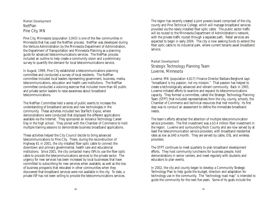Market Development **NetPlan** Pine City, MN

Pine City, Minnesota (population 3,043) is one of the few communities in Minnesota that has used the NetPlan process. NetPlan was developed during the Ventura Administration by the Minnesota Department of Administration, the Department of Transportation and Minnesota Planning as a planning guide for advanced telecommunications services. The NetPlan process included an outline to help create a community vision and a preliminary survey to quantify the demand for local telecommunications service.

In August, 1999, Pine City established a telecommunications planning committee and conducted a survey of local residents. The NetPlan committee included local leaders representing government, business, media, telecommunications, education and health care institutions. The NetPlan committee conducted a visioning exercise that included more than 60 public and private sector leaders to raise awareness about broadband telecommunications.

The NetPlan Committee held a series of public events to increase the understanding of broadband services and new technologies in the community. These activities included two StarTech Expos, where demonstrations were conducted that displayed the different applications available via the Internet. They sponsored an Advance Technology Career Day in the high school. They joined with the Chamber of Commerce to hold multiple training sessions to demonstrate business broadband applications.

These activities helped the City Council decide to bring advanced telecommunications to Pine City. There, during the reconstruction of Highway 61 in 2001, the city installed fiber optic cable to connect the downtown and primary governmental, health care and educational institutions. Since 2001, the city contacted many ISPs to use the fiber optic cable to provide the telecommunications services to the private sector. The urgency for new services has been increased by local businesses that have committed to subscribing for new services when available, as well as the loss of business prospects that relocated in other communities when they discovered that broadband services were not available in the city. To date, a private ISP has not been willing to provide the telecommunications services.

The region has recently created a joint powers board comprised of the city, county and Pine Technical College, which will manage broadband services provided via the newly installed fiber optic cable. The public sector traffic will be routed to the Minnesota Department of Administration's network, with the private traffic routed through a separate path. Retail services are expected to begin in early 2004. The city is now seeking funds to extend the fiber optic cable to its industrial park, where current tenants await broadband service.

## Market Development Strategic Technology Planning Team Luverne, Minnesota

Luverne, MN (population 4,617) Finance Director Barbara Berghorst says "broadband is my passion, not my mission." That passion has helped to create a technologically advanced and vibrant community. Back in 1993, Luverne initiated efforts to examine and expand its telecommunications capacity. They formed a committee, called the Strategic Technology Planning Team (STPT) that included representatives from the city, county, schools, the Chamber of Commerce and technical resources that met monthly. Its first step was to conduct an assessment to define the immediate broadband needs.

The team's efforts attracted the attention of multiple telecommunication service providers. The first investment was a \$3.4 million fiber investment in the region. Luverne and surrounding Rock County and are now served by at least five telecommunication service providers, with broadband residential rates as low as \$40 a month. They are served by cable, DSL and wireless providers.

The STPT continues to meet quarterly to plan broadband development efforts. They host community luncheons for business people, hold demonstrations in senior centers, and meet regularly with students and educators to plan events.

In 2002, the city and county began to develop a Community Strategic Technology Plan to help guide the budget, direction and adaptation for technology use in the community. The "technology road map" is intended to guide the community for the next five years. Some of its goals include the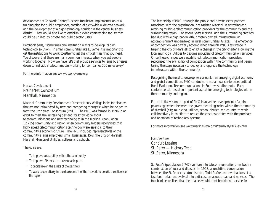development of Telework Center/Business Incubator, implementation of a training plan for public employees, creation of a citywide wide area network, and the development of a high-technology corridor in the central business district. They would also like to establish a video conferencing facility that could be utilized by private and public sector users.

Berghorst adds, "sometimes one institution wants to develop its own technology solution. In small communities like Luverne, it is important to get the institutions to work together to get the critical mass that you need. You discover that there are many common interests when you get people working together. Now we have ISPs that provide services to large businesses down to individual telecommuters working for companies 500 miles away"

For more information see www.cityofluverne.org

## Market Development PrairieNet Consortium Marshall, Minnesota

Marshall Community Development Director Harry Weilage looks for "leaders that are not intimidated by new and competing thoughts" when he helped to form the PrairieNet Consortium (PNC). The PNC was formed in 1996 in an effort to meet the increasing demand for knowledge about telecommunications and new technologies in the Marshall (population 12,735) community and region when community leaders recognized that high- speed telecommunications technology were essential to their community's economic future. The PNC included representatives of the community's large employers, small businesses, ISPs, the City of Marshall, Marshall Municipal Utilities, colleges and schools.

The goals are:

- *To improve accessibility within the community*
- *To improve ISP services at reasonable prices*
- *To capitalize on the assets of the partners*
- *To work cooperatively in the development of the network to benefit the citizens of the region*

The leadership of PNC, through the public and private sector partners associated with the organization, has assisted Marshall in attracting and retaining multiple telecommunication providers for the community and the surrounding region. For several years Marshall and the surrounding area has had duplicative high bandwidth, privately owned infrastructure, an accomplishment unparalleled in rural communities its size. The emergence of competition was partially accomplished through PNC's assistance in helping the city of Marshall to enact a change in the city charter allowing the local municipal utilities to become providers of telecommunication services. Once these changes were established, telecommunication providers recognized the availability of competition within the community and began taking the steps necessary to deploy and upgrade the technology infrastructure within the community.

Recognizing the need to develop awareness for an emerging digital economy and global competition, PNC conducted three annual conferences entitled Rural Evolution, Telecommunications in Southwest Minnesota. Each conference addressed an important aspect for emerging technologies within the community and region.

Future initiatives on the part of PNC involve the development of a jointpowers agreement between the governmental agencies within the community of Marshall (city, municipal utilities, school district, and county) to work collaboratively in an effort to reduce the costs associated with the purchase and operation of technology systems.

For more information see www.marshall-mn.org/PrairieNet/PNWeb.htm

Joint Venture Conduit Leasing St. Peter — Hickory Tech St. Peter, Minnesota

St. Peter's (population 9,747) venture into telecommunications has been a combination of luck and disaster. In 1998, a lunchtime conversation between the St. Peter city administrator, Todd Prafke, and two bankers at a fast food restaurant evolved into a discussion about broadband services. The two bankers realized that their banks would need broadband service for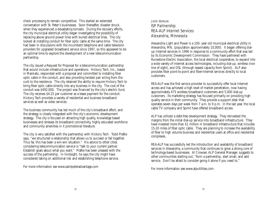check processing to remain competitive. This started an extended conversation with St. Peter's businesses. Soon thereafter, disaster struck, when they experienced a devastating tornado. During the recovery efforts, the city municipal electrical utility began investigating the possibility of replacing above ground power lines with buried electrical lines. The city looked at installing conduit for fiber optic cable at the same time. The city had been in discussions with the incumbent telephone and cable television providers for upgraded broadband service since 1997, so this appeared to be an optimal time to explore the development of a new telecommunication partnership.

The city issued a Request for Proposal for a telecommunication partnership that would include infrastructure and operations. Hickory Tech, Inc., based in Mankato, responded with a proposal and committed to installing fiber optic cable in the conduit, and also providing twisted pair wiring from the curb to the residence. The city retained the ability to require Hickory Tech to bring fiber optic cable directly into any business in the city. The cost of the conduit was \$492,000. The project was financed by the city's electric fund. The city receives \$4.25 per customer as a lease payment for the conduit. Hickory Tech provides a variety of residential and business broadband services as well as video services.

The business community has led much of the city's broadband effort, and the strategy is closely integrated with the city's economic development strategy. The city is focused on attracting high quality, knowledge based businesses and stresses its broadband connectivity, highly educated workforce and community amenities in it promotional literature.

The city is very satisfied with the partnership with Hickory Tech. Todd Prafke says, "we structured a relationship that allows us to succeed or fail together. Thus far, this has been a win-win situation." His advice to other cities considering telecommunication service is "talk to your current partner. Establish goals about what you want." Prafke has been pleased with the success of the partnership. In hindsight, he says the city might have considered taking on additional risk and establishing telephone service.

For more information see www.saintpeteradvantage.com

## Joint Venture ISP Partnership REA-ALP Internet Services Alexandria, Minnesota

Alexandria Light and Power is a 100- year old municipal electrical utility in Alexandria, MN, (population approximately 10,000). It began offering dialup Internet services in 1996 in response to a community effort that was led by its Economic Development Commission. They have partnered with Runestone Electric Association, the local electrical cooperative, to expand into a wide variety of Internet access technologies, including dial-up, wireless (non line of sight), and DSL (through leased capacity from Sprint). ALP also provides fiber point-to-point and fiber-Internet services directly to local customers.

REA-ALP was the first service provider to successfully offer local Internet access and has achieved a high level of market penetration, now having approximately 475 wireless broadband customers and 5,000 dial-up customers. Its marketing strategy has focused primarily on providing high quality service in their community. They provide a support desk that operates seven days per week from 7 a.m. to 9 p.m. In the last year, the local cable TV company and Sprint have offered broadband access.

ALP has utilized a debt-free development strategy. They reinvested the margins from the initial dial-up service into broadband infrastructure. They have invested more than \$1 million in broadband infrastructure that includes 15-20 miles of fiber optic cable. They are planning to increase the availability of fiber to high volume business and residential users at office and residential complexes.

REA-ALP has successfully led the introduction and availability of broadband services in Alexandria, a community that continues to grow a strong core of technology-based businesses. Al Crowser, ALP General Manager, suggests to other communities starting out, "form a partnership, start small, and add service. Don't be afraid to consider going it alone if you need to."

For more information see www.alputilities.com.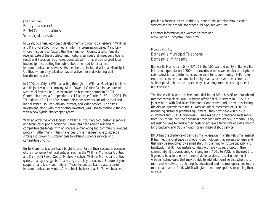## Joint Venture Equity Investment En-Tel Communications Willmar, Minnesota

In 1998, business, economic development and municipal leaders in Willmar and Kandiyohi County formed an informal organization called KandiLink, whose mission is to "assure that the Kandiyohi County area continually receives state of the art telecommunications services that meet our citizen's needs and keeps our businesses competitive." It has provided great local leadership in educating the public about the need for expanded telecommunications services. Its membership included Willmar Municipal Utilities, whom they asked to play an active role in developing vital broadband services.

In 2000, the City of Willmar, acting through the Willmar Municipal Utilities and its joint venture company, Allied Power LLC (itself a joint venture with Kandiyohi Power Coop), were invited to become a partner in En-Tel Communications, a Competitive Local Exchange Carrier CLEC. In 2001, En-Tel initiated a full line of telecommunications services, including local and long distance, DSL and dial-up Internet, and video service. The city's investment, along with that of other investors, was used to overbuild the city with a new hybrid fiber-copper system.

With an attractive office located in Willmar including both customer service and technical support personnel, En-Tel has been able to respond to competitive challenges with an aggressive marketing and community relations program. After many initial challenges, En-Tel has been able to attract a strong and growing customer base by offering superior services and competitive pricing.

En-Tel Communications has a bright future. Part of their success is because of the involvement of local entities, such as the Willmar Municipal Utilities and Kandiyohi Power Coop. Michael Nitchals, Willmar Municipal Utilities general manager, suggests, "marketing is the key to success. Be sure of your support – and know your critics. These factors can lead to a successful telecommunications venture." Nitchhals believes that En-Tel will be able to

provide a financial return to the city, state-of–the-art telecommunication services and be a model for other public-private ventures.

For more information see www.en-tel.com and www.kandilink.org/html/index.html

## Municipal Utility Barnesville Municipal Telephone Barnesville, Minnesota

Barnesville Municipal Utility (BMU) is the 100-year old utility in Barnesville, Minnesota (population 2,200). It provides water, sewer, electrical, telephone, cable television and Internet access services to its community. BMU is an excellent example of a municipal utility that has achieved the economy of scale to provide broadband service by expanding from an existing base of other services.

The Barnesville Municipal Telephone division of BMU has offered broadband Internet access since 2001. It began offering dial-up service in 1995 in a joint venture with Red River Telephone Cooperative, and is now transferring the dial-up operations to BMU. After an initial investment of \$120,000 (including customer premises equipment), they now have 400 dial-up customers and 80 DSL customers. Their residential broadband rates range from \$55 to \$85 and their business broadband rates are \$99 a month. They are seeking ways to reduce their costs to achieve a target rate of \$40 a month for broadband and \$15 a month for unlimited dial-up service.

BMU has the challenge of being a small operation in a relatively small market. It has met this challenge by choosing technologies that are easy to learn and that may be supported by a small staff. In planning for future capacity and bandwidth, BMU now installs conduit with every street project in their community. It is considering changing from ADSL to VDSL in the next 3 to 5 years to be able to offer improved video services. It is also looking at wireless technologies that may be able to add additional service where it is more cost effective. It's shifting its broadband and Internet operations into a municipal revenue fund, which will give them more options for pricing their services.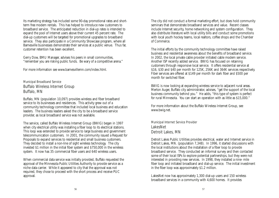Its marketing strategy has included some 90-day promotional rates and shortterm free modem rentals. This has helped to introduce new customers to broadband service. The anticipated reduction in dial-up rates is intended to expand the pool of Internet users above their current 45 percent rate. The dial-up customers will be targeted for promotional upgrades to broadband service. They also participate in a Community Showcase program, where all Barnesville businesses demonstrate their services at a public venue. Thus far, customer retention has been excellent.

Gerry Dow, BMU Manager, advises his peers in small communities, "remember you are risking public funds. Be wary of a competitive arena."

For more information see www.barnesvillemn.com/index.html.

## Municipal Broadband Service Buffalo Wireless Internet Group Buffalo, MN

Buffalo, MN (population 10,097) provides wireless and fiber broadband service to its businesses and residences. This activity grew out of a community technology committee that included local business and education leaders. The business leaders asked the city to be a broadband service provider, as local broadband service was not available.

The service, called Buffalo Wireless Internet Group (BWIG) began in 1997 when city electrical utility was installing a fiber loop to its electrical stations. This loop was extended to provide service to large business and government telecommunication customers. In 2001, the community issued a Request for Proposals to expand services to residential and small business customers. They decided to install a non-line of sight wireless technology. The city invested \$1 million in the initial fiber system and \$750,000 in the wireless system. It now has 35 commercial fiber users and 640 wireless users.

When commercial data service was initially provided, Buffalo requested the approval of the Minnesota Public Utilities Authority to provide service as a niche data carrier. While it appeared to city that the approval was not required, they chose to proceed with the short process and receive PUC approval.

The city did not conduct a formal marketing effort, but does hold community seminars that demonstrate broadband services and value. Recent classes include Internet security, home networking and system configuration. They also distribute literature with local utility bills and conduct some promotions with local youth hockey teams, local realtors, coffee shops and the Chamber of Commerce.

The initial efforts by the community technology committee have raised business and residential awareness about the benefits of broadband service. In 2002, the local private cable provider initiated cable modem service. Another ISP recently added service. BWIG has focused on retaining customers through responsive local service. It offers residential service at \$16, \$30 and \$40 per month for 125K, 256K and 364K services respectively. Fiber services are offered at \$149 per month for dark fiber and \$500 per month for switched fiber.

BWIG is now looking at expanding wireless service to adjacent rural areas. Merton Auger, Buffalo city administrator, advises, "get the support of the local business community behind you." He adds, "this type of system is perfect for rural Minnesota. You can start an operation with as little as \$15,000."

For more information about the Buffalo Wireless Internet Group, see www.bwig.net.

## Municipal Internet Service Provider LakesNet Detroit Lakes, MN

Detroit Lakes Public Utilities provides electrical, water and Internet service in Detroit Lakes, MN. (population 7,348). In 1996, it started discussions with the local institutions about the installation of a fiber loop to provide broadband service. They conducted an informal survey and then contacted some of their local ISPs to explore potential partnerships, but they were not interested in providing new services. In 1998, they installed a nine- mile fiber loop and initiated broadband and dial-up service. The initial investment in the fiber loop was approximately \$1.2 million.

LakesNet now has approximately 1,300 dial-up users and 150 wireless broadband services in a community with 4,600 homes. It provides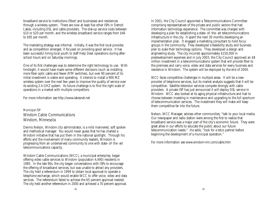broadband service to institutions (fiber) and businesses and residences through a wireless system. There are now at least five other ISPs in Detroit Lakes, including DSL and cable providers. The dial-up service costs between \$10 or \$20 per month, and the wireless broadband service ranges from \$46 to \$95 per month.

The marketing strategy was informal. Initially, it was the first local provider, and as competition emerged, it focused on providing good service. It has been successful hiring local youth to staff Help Desk operations during afterschool hours and on Saturday mornings.

One of its first challenges was to determine the right technology to use. With hindsight, it would have made some different decisions (such as installing more fiber optic cable and fewer ATM switches), but over 90 percent of its initial investment is viable and operating. It intends to install a 900 MZ wireless system over the next few years to improve the quality of service over its existing 2.4 GHZ system. Its future challenge is to find the right scale of operations in a market with multiple competitors.

For more information see http://www.lakesnet.net

## Municipal ISP Windom Cable Communications Windom, Minnesota

Dennis Nelson, Windom city administrator, is a mild mannered, soft spoken and methodical manager. You would never guess that he has charted a Windom initiative that has put them in the national spotlight. Through his efforts and the involvement of many community leaders, Windom is progressing from an underserved community to one with state- of- the -art telecommunications capacity.

Windom Cable Communications (WCC), a municipal enterprise, began offering video cable services to Windom (population 4,490) residents in 1985. In the late 90s, the city began conversations with ISPs to encourage the offering of broadband services, but was unable to attract any providers. The city held a referendum in 1999 to obtain local approval to operate a telephone exchange, which would enable WCC to offer voice, video and data services. The referendum failed to achieve the 65 percent approval needed. The city held another referendum in 2000 and achieved a 70 percent approval.

In 2001, the City Council appointed a Telecommunications Committee comprising representatives of the private and public sectors that had information technology experience. The committee was charged with developing a plan for establishing a state- of- the- art telecommunications infrastructure in the city. It spent the next 30 months developing an implementation plan. It engaged a marketing consultant to hold focus groups in the community. They developed a feasibility study and business plan to scale their technology options. They developed a design and engineering study. The city incurred approximately \$150,000 in predevelopment expenses and in July 2003, the City Council approved an \$8 million investment in a telecommunications system that will provide fiber to the premises and carry voice, video and data services for every business and residence in Windom. The system will be deployed by the end of 2004.

WCC faces competitive challenges in multiple areas. It will be a new provider of telephone services, but its market analysis suggests that it will be competitive. Satellite television services compete strongly with cable providers. A private ISP has just announced it will deploy DSL service in Windom. WCC also looked at its aging physical infrastructure and had to choose between investing in maintenance and upgrading to the full spectrum of telecommunication services. The investment they will make will keep them competitive far into the future.

Nelson, WCC Manager, advises other communities, "talk to your local media. Our newspaper and radio station were among the first to realize that broadband service was a major part of the city's economic future. They were great allies in our efforts to educate the public about our future telecommunication needs." He adds, "look for a telco partner before beginning the development of a municipal operation."

For more information see www.windom-mn.com/cable.htm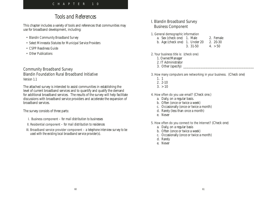# *Tools and References*

This chapter includes a variety of tools and references that communities may use for broadband development, including:

- *Blandin Community Broadband Survey*
- *Select Minnesota Statutes for Municipal Service Providers*
- *CSPP Readiness Guide*
- *Other Publications*

## Community Broadband Survey Blandin Foundation Rural Broadband Initiative *Version 1.1*

The attached survey is intended to assist communities in establishing the level of current broadband services and to quantify and qualify the demand for additional broadband services. The results of the survey will help facilitate discussions with broadband service providers and accelerate the expansion of broadband services.

The survey consists of three parts:

- I. Business component  *for mail distribution to businesses*
- II. Residential component  *for mail distribution to residences*
- III. Broadband service provider component  *a telephone interview survey to be used with the existing local broadband service provider(s).*

## I. Blandin Broadband Survey Business Component

## 1. General demographic information

| a. Sex (check one) 1. Male     |          | 2. Female |
|--------------------------------|----------|-----------|
| b. Age (check one) 1. Under 20 |          | 2. 20-30  |
|                                | 3. 31-50 | 4. > 50   |

## 2. Your business title is: (check one)

- 1. Owner/Manager
- 2. IT Administrator
- 3. Other (specify)

## 3. How many computers are networking in your business. (Check one)

- 1. 1
- 2. 2-10
- $3. > 10$

## 4. How often do you use email? (Check one.)

- a. Daily, on a regular basis.
- b. Often (once or twice a week)
- c. Occasionally (once or twice a month)
- d. Rarely (less than once a month)
- e. Never

## 5. How often do you connect to the Internet? (Check one)

- a. Daily, on a regular basis
- b. Often (once or twice a week)
- c. Occasionally (once or twice a month)
- d. Rarely
- e. Never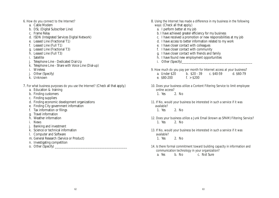#### 6. How do you connect to the Internet?

- a. Cable Modem
- b. DSL (Digital Subscriber Line)
- c. Frame Relay
- d. ISDN (Integrated Services Digital Network)
- e. Leased Line (Fractional T1)
- f. Leased Line (Full T1)
- g. Leased Line (Fractional T3)
- h. Leased Line (Full T3)
- i. Satellite
- j. Telephone Line Dedicated Dial-Up
- k. Telephone Line Share with Voice Line (Dial-up)
- i. Wireless
- j. Other (Specify)
- k. Unknown
- 7. For what business purposes do you use the Internet? (Check all that apply.)
	- a. Education & training
	- b. Finding customers
	- c. Finding suppliers
	- d. Finding economic development organizations
	- e. Finding City government information
	- f. Tax information or filings
	- g. Travel information
	- h. Weather information
	- i. News
	- Banking and investment
	- k. Science or technical information
	- l. Computer and Software
	- m. General Research (Service or Product)
	- n. Investigating competition
	- o. Other (Specify)
- 8. Using the Internet has made a difference in my business in the following ways: (Check all that apply.)
	- a. I perform better at my job
	- b. I have achieved greater efficiency for my business
	- c. I have received a promotion or new responsibilities at my job
	- d. I have access to better information related to my work
	- e. I have closer contact with colleagues
	- f. I have closer contact with community
	- g. I have closer contact with friends and family
	- h. I have found new employment opportunities
	- i. Other (Specify)
- 9. How much do you pay per month for Internet access at your business?
	- a. Under \$20 b. \$20 39 c. \$40-59 d. \$60-79 e. \$80-200 f. >\$200
- 10. Does your business utilize a Content Filtering Service to limit employee online access? 1. Yes 2. No
- 11. If No, would your business be interested in such a service if it was available? 1. Yes 2. No
- 12. Does your business utilize a Junk Email (known as SPAM) Filtering Service? 1. Yes 2. No
- 13. If No, would your business be interested in such a service if it was available? 1. Yes 2. No
- 14. Is there formal commitment toward building capacity in information and communication technology in your organization?

a. Yes b. No c. Not Sure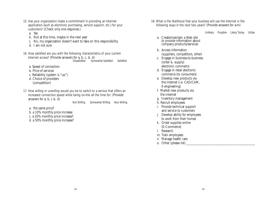- 15. Has your organization made a commitment in providing an Internet application (such as electronic purchasing, service support, etc.) for your customers? (Check only one response.)
	- a. Yes
	- b. Not at this time, maybe in the next year
	- c. No, my organization doesn't want to take on this responsibility
	- d. I am not sure

#### 16. How satisfied are you with the following characteristics of your current

Internet access? (Provide answers for a, b, c, & d)<br>Dissatisfied Som

Somewhat Satisfied Satisfied

- a. Speed of connection
- b. Price of services
- c. Reliability (system is "up")
- d. Choice of providers (competition)
- 17. How willing or unwilling would you be to switch to a service that offers an increased connection speed while being on-line all the time for: (Provide answers for a, b, c  $& d$ )

Not Willing Somewhat Willing Very Willing

- a. the same price?
- b. a 10% monthly price increase
- c. a 20% monthly price increase?
- d. a 50% monthly price increase?

18. What is the likelihood that your business will use the Internet in the following ways in the next two years? (Provide answers for a-m)

Unlikely Possible Likely Today Utilize

- a. Create/maintain a Web site to provide information about company products/services
- b. Access information (suppliers, competitors, other)
- c. Engage in business-to-business (order & supply) electronic commerce
- d. Engage in retail electronic commerce (to consumers)
- e. Develop new products via the Internet (i.e. CAD/CAM, E-engineering)
- f. Market new products via the Internet
- g. Inventory management
- h. Recruit employees
- i. Provide technical support and service to customers
- j. Develop ability for employees to work from their homes
- k. Order supplies online (E-Commerce)
- l. Research
- m. Train employees
- n. Manage health care
- o. Other (please list)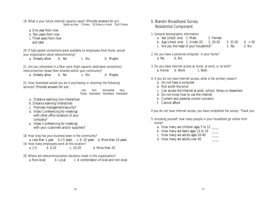## 19. What is your future Internet capacity need? (Provide answers for a-c)

Same as now 5 times 10 times or more Don't know

- a. One year from now
- b. Two years from now
- c. Three years from now and later

#### 20. If high-speed connections were available to employees from home, would your organization allow telecommuting?

a. Already allow b. Yes c. No d. Maybe

21. Are you interested in a fiber optic (high capacity dedicated connection) interconnection (lease fiber strands) within your community?

a. Already allow b. Yes c. No d. Maybe

22. How interested would you be in purchasing or receiving the following services? (Provide answers for a-e)

Use Not Somewhat Very Today Interested Interested Interested

- a. Distance learning (non-interactive)
- b. Distance learning (interactive)
- c. Premises management/security?
- d. Video Conferencing for meetings with other office locations of your company?
- e. Video Conferencing for meetings with your customers and/or suppliers?

#### 18. How long has your business been in the community?

- a. Less than 1 year b.1-5 years c. 6 -10 years d. More than 10 years
- 19. How many employees work at this location?
	- a. 1-5 b. 5-10 c. 10-20 d. More than 20

#### 20. Where are telecommunication decisions made in this organization?

a. Non-local b. Local c. A combination of local and non-local

## II. Blandin Broadband Survey Residential Component

#### 1. General demographic information

a. Sex (check one) 1. Male 2. Female

| b. Age (check one) 1. Under 20         | 2. 20-30 | 3.31-50 | 4. > 50 |
|----------------------------------------|----------|---------|---------|
| c. Are you the head of your household? |          | 1. Yes  | 2. No   |

2. Do you have a personal computer in your home? a. Yes b. No

3. Do you have Internet access at home, at work, or at both? a. Home b. Work c. Both

#### 4. If you do not have Internet access, what is the primary reason?

- a. Do not have a computer
- b. Not worth the price
- c. Can access the Internet at work, school, library or elsewhere
- d. Do not know how to use the Internet
- e. Content and parental control concerns
- f. Cannot afford

If you do not have Internet access, you have completed the survey. Thank you.

#### 5. Including yourself, how many people in your household go online from home?

- a. How many are children ages 5 to 12
- b. How many are teens ages 13 to 19
- c. How many are adults ages 20-40
- d. How many are adults over 40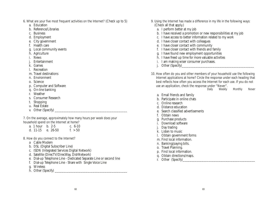- 6. What are your five most frequent activities on the Internet? (Check up to 5)
	- a. Education
	- b. Reference/Libraries
	- c. Business
	- d. Employment
	- e. City government
	- f. Health care
	- g. Local community events
	- h. Agriculture
	- i. News
	- **Entertainment**
	- k. Games
	- l. Recreation
	- m. Travel destinations
	- n. Environment
	- o. Science
	- p. Computer and Software
	- q. On-line banking
	- r. Weather
	- s. Consumer Research
	- t. Shopping
	- u. Real Estate
	- v. Other (Specify)

7. On the average, approximately how many hours per week does your household spend on the Internet at home?

| a. 1 hour b. 2-5  |  | c. $6-10$ |
|-------------------|--|-----------|
| d. 11-15 e. 26-50 |  | f. $> 50$ |

#### 8. How do you connect to the Internet?

- a Cable Modem
- b. DSL (Digital Subscriber Line)
- c. ISDN (Integrated Services Digital Network)
- d. Satellite (DirecTV/DirecWay, DishNetwork)
- e. Dial-up Telephone Line Dedicated Separate Line or second line
- f. Dial-up Telephone Line Share with Single Voice Line
- g. Wireless
- $\overline{h}$ . Other (Specify)
- 9. Using the Internet has made a difference in my life in the following ways: (Check all that apply.)
	- a. I perform better at my job
	- b. I have received a promotion or new responsibilities at my job
	- c. I have access to better information related to my work
	- d. I have closer contact with colleagues
	- e. I have closer contact with community
	- f. I have closer contact with friends and family
	- g. I have found new employment opportunities
	- h. I have freed up time for more valuable activities
	- i. I am making wiser consumer purchases.
	- j. Other (Specify)
- 10. How often do you and other members of your household use the following Internet applications at home? Circle the response under each heading that best reflects how often you access the Internet for each use. If you do not use an application, check the response under "Never".<br>Daily Weekly

Weekly Monthly Never

- a. Email friends and family
- b. Participate in online chats
- c. Online research
- d. Distance education
- e. Search classified advertisements
- f. Obtain news
- g. Purchase products
- i. Download software
- Day trading
- k. Listen to music
- l. Obtain government forms
- m. Find local information.
- n. Banking/paying bills.
- o. Travel Planning.
- p. Find local information.
- q. Obtain directions/maps.
- r. Other (Specify)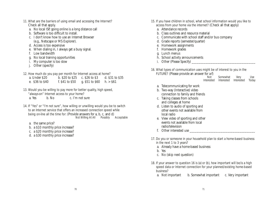- 11. What are the barriers of using email and accessing the Internet? Check all that apply.
	- a. No local ISP, going online is a long distance call
	- b. Software is too difficult to install.
	- c. I don't know how to use an Internet Browser (e.g., Netscape or MS Explorer).
	- d. Access is too expensive
	- e. When dialing in, I always get a busy signal.
	- f. Low bandwidth
	- g. No local training opportunities
	- i. My computer is too slow
	- Other (specify)

## 12. How much do you pay per month for Internet access at home?

| a. Under \$20   | b. \$20 to \$25 c. \$26 to \$3 |                              | d. \$31 to \$35 |
|-----------------|--------------------------------|------------------------------|-----------------|
| e. \$36 to \$40 | f. \$41 to \$50                | g. $$51$ to $$60$ h. $> $61$ |                 |

13. Would you be willing to pay more for better quality, high speed, "always-on" Internet access to your home? a. Yes b. No c. I'm not sure

- 14. If "Yes" or "I'm not sure", how willing or unwilling would you be to switch to an Internet service that offers an increased connection speed while being on-line all the time for: (Provide answers for a, b, c, and d)<br>Not Willing At All Possibly Acceptable Not Willing At All Possibly
	- a. the same price?
	- b. a \$10 monthly price increase?
	- c. a \$20 monthly price increase?
	- d. a \$30 monthly price increase?
- 15. If you have children in school, what school information would you like to access from your home via the internet? (Check all that apply)
	- a. Attendance records
	- b. Class outlines and resource material
	- c. Communicate with school staff and/or bus company
	- d. Grade reports (semester/quarter)
	- e. Homework assignments
	- f. Homework grades
	- g. Lunch menus
	- h. School activity announcements
	- i. Other (Please Specify)

## 16. What types of communication uses might be of interest to you in the

FUTURE? (Please provide an answer for a-f)

| Not        | Somewhat   | Very       | Use.  |
|------------|------------|------------|-------|
| Interested | Interested | Interested | Today |

- a. Telecommunicating for work
- b. Two-way (Interactive) video connection to family and friends
- c. Taking classes from schools and colleges at home
- d. Listen to audio of sporting and other events not available from local radio
- e. View video of sporting and other events not available from local radio/television
- f. Other interested use
- 17. Do you or someone in your household plan to start a home-based business in the next 1 to 3 years?
	- a. Already have a home-based business
	- b. Yes
	- c. No (skip next question)
- 18. If your answer to question 16 is (a) or (b), how important will be/is a high speed data or Internet connection for your planned/existing home-based business?
	- a. Not important b. Somewhat important c. Very important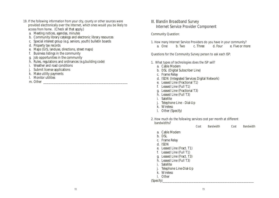- 19. If the following information from your city, county or other sources were provided electronically over the Internet, which ones would you be likely to access from home. (Check all that apply.)
	- a. Meeting notices, agendas, minutes
	- b. Community library catalogs and electronic library resources
	- c. Special interest group (e.g. seniors, youth) bulletin boards
	- d. Property tax records
	- e. Maps (GIS, landuse, directions, street maps)
	- f. Business listings in the community
	- g. Job opportunities in the community
	- h. Rules, regulations and ordinances (e.g.building code)
	- i. Weather and road conditions
	- j. Submit license applications
	- k. Make utility payments
	- l. Monitor utilities
	- m. Other \_\_\_\_\_\_\_\_\_\_\_\_\_\_\_\_\_\_\_\_\_\_\_\_\_\_\_\_\_\_\_\_\_\_\_\_\_\_\_\_\_\_\_\_\_\_\_\_\_

## III. Blandin Broadband Survey Internet Service Provider Component

#### Community Question:

1. How many Internet Service Providers do you have in your community? a. One b. Two c. Three d. Four e. Five or more

### Questions for the Community Survey person to ask each ISP:

- 1. What types of technologies does the ISP sell?
	- a. Cable Modem
	- b. DSL (Digital Subscriber Line)
	- c. Frame Relay
	- d. ISDN (Integrated Services Digital Network)
	- e. Leased Line (Fractional T1)
	- f. Leased Line (Full T1)
	- g. Leased Line (Fractional T3)
	- h. Leased Line (Full T3)
	- i. Satellite
	- j. Telephone Line Dial-Up
	- k. Wireless

l. Other (Specify)

#### 2. How much do the following services cost per month at different

| bandwidths?                                                                                                                                                                  | Cost | <b>Bandwidth</b> | Cost | <b>Bandwidth</b> |
|------------------------------------------------------------------------------------------------------------------------------------------------------------------------------|------|------------------|------|------------------|
| a. Cable Modem<br>b. DSL<br>c. Frame Relay<br>d. ISDN<br>e. Leased Line (Fract. T1)<br>f. Leased Line (Full T1)<br>Leased Line (Fract. T3)<br>g.<br>h. Leased Line (Full T3) |      |                  |      |                  |
| Satellite<br>i.<br>Telephone Line-Dial-Up<br>Wireless<br>k.<br>Other<br>L<br>(Specify)                                                                                       |      |                  |      |                  |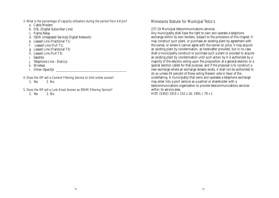- 3. What is the percentage of capacity utilization during the period from 4-8 pm?
	- a. Cable Modem
	- b. DSL (Digital Subscriber Line)
	- c. Frame Relay
	- d. ISDN (Integrated Services Digital Network)
	- e. Leased Line (Fractional T1)
	- f. Leased Line (Full T1)
	- g. Leased Line (Fractional T3)
	- h. Leased Line (Full T3)
	- i. Satellite
	- j. Telephone Line Dial-Up
	- k. Wireless
	- l. Other (Specify)
- 4. Does the ISP sell a Content Filtering Service to limit online access? 1. Yes 2. No
- 5. Does the ISP sell a Junk Email (known as SPAM) Filtering Service?
	- 1. Yes 2. No

## Minnesota Statute for Municipal Telco's

237.19 Municipal telecommunications services.

Any municipality shall have the right to own and operate a telephone exchange within its own borders, subject to the provisions of this chapter. It may construct such plant, or purchase an existing plant by agreement with the owner, or where it cannot agree with the owner on price, it may acquire an existing plant by condemnation, as hereinafter provided, but in no case shall a municipality construct or purchase such a plant or proceed to acquire an existing plant by condemnation until such action by it is authorized by a majority of the electors voting upon the proposition at a general election or a special election called for that purpose, and if the proposal is to construct a new exchange where an exchange already exists, it shall not be authorized to do so unless 65 percent of those voting thereon vote in favor of the undertaking. A municipality that owns and operates a telephone exchange may enter into a joint venture as a partner or shareholder with a telecommunications organization to provide telecommunications services within its service area. HIST: (5302) 1915 c 152 s 16; 1991 c 79 s 1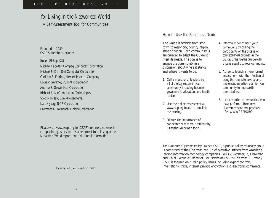# *for Living in the Networked World* A Self-Assessment Tool for Communities

Founded in 1989 CSPP'S Members Include:

*Robert Bishop, SGI Michael Capellas, Compaq Computer Corporation Michael S. Dell, Dell Computer Corporation Carleton S. Fiorina, Hewlett-Packard Company Louis V. Gerstner, Jr., IBM Corporation Andrew S. Grove, Intel Corporation Richard A. McGinn, Lucent Technologies Scott McNealy, Sun Microsystems Lars Nyberg, NCR Corporation Lawrence A. Weinbach, Unisys Corporation*

Please visit www.cspp.org for CSPP's online assessment, companion glossary to this assessment tool, *Living in the Networked World* report, and additional information.

*Reprinted with permission from CSPP*

## How to Use the Readiness Guide

The Guide is scalable from small town to major city, county, region, state or nation. Each community is encouraged to adapt the Guide to meet its needs. The goal is to engage the community in a discussion about where it stands and where it wants to be.

- 1. Call a meeting of leaders *from all of the key sectors in your community, including business, government, education, and health leaders.*
- 2. Use the online assessment *at www.cspp.org to attract people to the meeting.*
- 3. Discuss the importance of connectedness *to your community, using the Guide as a focus.*

––––––––––

- 4. Informally benchmark your community *by polling the participants on the criteria of connectedness outlined in the Guide. Enhance the Guide with criteria specific to your community.*
- 5. Agree to launch a more formal assessment*, with the intention of using the results to develop and implement an action plan for your community to improve its connectedness.*
- 6. Look to other communities *who have performed Readiness Assessments for best practices (See WWW.CSPP.ORG)*

The Computer Systems Policy Project (CSPP), a public policy advocacy group. is comprised of the Chairman and Chief executive Officers from America's leading information technology companies. Louis V. Gerstner, Jr., Chairman and Chief Executive Officer of IBM, serves as CSPP's Chairman. Currently, CSPP is focused on public policy issues including export controls, international trade, internet privacy, encryption and electronic commerce.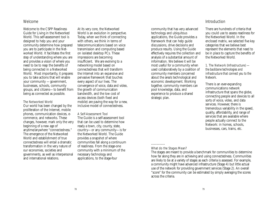## Welcome

Welcome to the CSPP Readiness Guide for Living in the Networked World. This self-assessment tool is designed to help you and your community determine how prepared you are to participate in the Networked World. It facilitates the first step of understanding where you are and provides a vision of where you need to be to reap the benefits of being connected in a Networked World. Most importantly, it prepares you to take actions that will enable your community —government, businesses, schools, community groups, and citizens—to benefit from being as connected as possible.

#### The Networked World

Our world has been changed by the proliferation of the Internet, mobile phones, communication devices, ecommerce, and networks. These changes, however, mark only the very beginning of a new age of anytime/anywhere "connectedness." The emergence of the Networked World and establishment of true connectedness will entail a dramatic transformation in the very nature of our economies, societies and governments, as well as interpersonal and international relations.

At its very core, the Networked World is an evolution in perspective. Today, when we think of connecting with others, we think in terms of telecommunications based on voice transmission and computing based on isolated desktop PCs. These impressions are becoming insufficient. We are evolving to a networking model based on connectedness that will transform the Internet into an expansive and pervasive framework that touches every aspect of our lives. The convergence of voice, data and video, the growth of communication bandwidth, and the low cost of access devices (both fixed and mobile) are paving the way for a new, inclusive model of connectedness.

#### A Self-Assessment Tool

The Guide is a self-assessment tool that can be used to determine how ready a town, city, county, state, country—or any community—is for the Networked World. The Guide provides a snapshot of where communities fall along a continuum of readiness. From the stage-one community with a minimum of the necessary technology and applications, to the stage-four

community that has very advanced technology and ubiquitous applications, the Guide provides a framework that can help guide discussions, drive decisions and produce results. Using the Guide effectively requires the collection and analysis of a substantial amount of information. We believe it will be most useful for a community when used collaboratively by a coalition of community members concerned about the area's technological and economic development. Working together, community members can pool knowledge, data, and experience to produce a shared strategic plan.

#### Introduction

There are hundreds of criteria that you could use to assess readiness for the Networked World. In the enclosed matrix, we selected five key categories that we believe best represent the elements that need to be in place to capture the benefits of the Networked World.

1. The Network (Infrastructure) *the backbone technologies and infrastructure that connect you to the Network.*

There is an ever-expanding communications network infrastructure that spans the globe, connecting people and devices to all sorts of voice, video, and data services. However, there is tremendous variability in the speed, quality, affordability, and range of services that are available where people actually connect to the Network: in homes, schools, businesses, cars, trains, etc.

#### What do the Stages Mean?

––––––––––

The stages are meant to provide a benchmark for communities to determine how far along they are in achieving and using connectedness. Communities are likely to be at a variety of stages as each criteria is assessed. For example, a community might have advanced infrastructure (Stage 4) but little actual use of the network for providing government services (Stage 2). An overall "score" for the community can be estimated by simply averaging the scores across the criteria.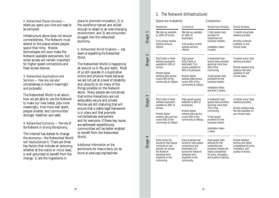2. Networked Places (Access) *where you spend your time and need to be connected.* 

Infrastructure alone does not ensure connectedness. The Network must extend to the places where people spend their time. Mobile technologies will soon make the Network available everywhere, but wired access will remain important for higher speed connections and fixed access devices.

3. Networked Applications and Services — *how you use your connectedness to make it meaningful and purposeful.*

The Networked World is all about how we are able to use the Network to make our lives better, jobs more meaningful, time more well spent, people smarter, and communities stronger, healthier, and safer.

4. Networked Economy — *the role of the Network in driving the economy.*

The Internet has started to change the economy—the Networked World will revolutionize it. There are three key factors that indicate an economy, whether at the macro or micro level, is well grounded to benefit from the change: 1) are the ingredients in

place to promote innovation; 2) is the workforce trained and skilled enough to adapt to an ever-changing environment; and 3) are consumers plugged into the networked economy.

5. Networked World Enablers — *key levers to expediting the Networked World.*

The Networked World is happening all around us in fits and starts. Most of us still operate in a duplicative online and physical mode because we are not yet at a level of reliability and ubiquity to do many of the things possible on the Network alone. Many people are concerned that online interactions are not adequately secure and private. Policies are still maturing that will ensure that a viable legal framework is in place and that promote connectedness everywhere and for everyone. If these key issues are addressed expeditiously, communities will be better enabled to benefit from the Networked World.

*Additional information on the benchmarks for these criteria can be found at www.cspp.org/readiness*

## 1. The Network (Infrastructure)

|         | Speed and Availability                                                                                                                                              |                                                                                                                                                                                       | Competition                                                                                                                                                                                              |                                                                                                                                  |  |
|---------|---------------------------------------------------------------------------------------------------------------------------------------------------------------------|---------------------------------------------------------------------------------------------------------------------------------------------------------------------------------------|----------------------------------------------------------------------------------------------------------------------------------------------------------------------------------------------------------|----------------------------------------------------------------------------------------------------------------------------------|--|
|         | Residential                                                                                                                                                         | Commercial                                                                                                                                                                            | <b>Wired/Fixed Wireless</b>                                                                                                                                                                              | <b>Mobile Wireless</b>                                                                                                           |  |
| Stage 1 | 56k dial-up available<br>to 100% of homes.                                                                                                                          | 56k dial-up available<br>to 100% of<br>businesses.                                                                                                                                    | 1 high-speed data<br>provider for<br>residential and<br>business markets.<br>Installation takes<br>2 weeks.                                                                                              | 1 mobile voice/data<br>wireless provider.                                                                                        |  |
|         | Only analog mobile<br>wireless services<br>offered.                                                                                                                 | Only analog mobile<br>wireless services<br>offered.                                                                                                                                   |                                                                                                                                                                                                          | Monthly contracts<br>available on per-<br>minute basis.                                                                          |  |
| Stage 2 | DSL/Cable or fixed<br>wireless equivalent<br>available to 20% of<br>homes.<br>Mobile digital<br>wireless data service<br>covers 30% of the<br>community at 12kbps.  | High-speed<br>(DSL/Cable or<br>dedicated $T1+$ )<br>access available to<br>40% of businesses.<br>Mobile digital<br>wireless data service<br>covers 30% of the<br>community at 12kbps. | 2 residential high-<br>speed data providers<br>servicing more than<br>50% of the<br>community.<br>3 high-speed data<br>providers for the<br>business market.<br>Installation takes<br>less than 2 weeks. | 3 mobile voice/ data<br>wireless providers.<br>Mobile wireless long<br>distance flat rates<br>available on per-<br>minute basis. |  |
| Stage 3 | DSL/Cable or fixed<br>wireless equivalent<br>available to 80% of<br>homes.<br>Mobile digital<br>wireless data services<br>covers 50% of the<br>community at 12kbps. | High-speed access<br>available to 80% of<br>businesses.<br>Mobile digital<br>wireless data service<br>covers 50% of the<br>community at 56kbps.                                       | 3 residential high-<br>speed data providers<br>servicing more than<br>75% of the<br>community.<br>5 high-speed<br>providers for the<br>business market.<br>Installation takes<br>1 week.                 | 5 mobile voice/ data<br>wireless providers.<br>Mobile wireless data<br>flat rate available on<br>per-minute basis.               |  |
| Stage 4 | Every home has<br>access to high-speed<br>connections and<br>people can access<br>the Network<br>wirelessly from<br>anywhere in the<br>community.                   | Every business has<br>access to high-speed<br>connections and<br>employees can<br>access the Network<br>wirelessly from<br>anywhere in the<br>community.                              | High-speed data<br>services for the<br>residential and<br>business markets are<br>highly competitive<br>for price, innovation,<br>and quality of service.                                                | Mobile wireless<br>services are highly<br>competitive for price,<br>innovation, and<br>quality of service.                       |  |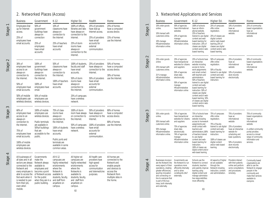# 2. Networked Places (Access)

| <b>Business</b>                                                                                                                                                                                                                   | Government                                                                                                                                                                    | K-12                                                                                                                                                                      | Higher Ed.                                                                                                                                                                      | Health                                                                                                                                                | Home                                                                                                                                                |
|-----------------------------------------------------------------------------------------------------------------------------------------------------------------------------------------------------------------------------------|-------------------------------------------------------------------------------------------------------------------------------------------------------------------------------|---------------------------------------------------------------------------------------------------------------------------------------------------------------------------|---------------------------------------------------------------------------------------------------------------------------------------------------------------------------------|-------------------------------------------------------------------------------------------------------------------------------------------------------|-----------------------------------------------------------------------------------------------------------------------------------------------------|
| <b>Employees Dial</b><br>up for Internet<br>access.<br>25% of<br>employees have                                                                                                                                                   | 50% of<br>government<br>buildings have<br>always-on<br>connection                                                                                                             | 10% of<br>classrooms have<br>always-on<br>connection to<br>the Internet                                                                                                   | 100% of offices,<br>libraries and labs<br>have always-on<br>connection to the<br>Internet.                                                                                      | 25% of providers<br>have dial-up<br>Internet access.<br>25% of providers<br>have email                                                                | 25% of homes<br>have a computer/<br>access device.<br>15% of homes<br>use the Internet                                                              |
| email accounts.                                                                                                                                                                                                                   | 25% of<br>employees<br>have email<br>accounts                                                                                                                                 | 25% of teachers<br>have email<br>accounts                                                                                                                                 | 25% of dorm<br>rooms have<br>always-on<br>connection to the<br>Internet.                                                                                                        | accounts for<br>external<br>communication.                                                                                                            |                                                                                                                                                     |
| 30% of<br>employees have<br>access to an<br>always-on<br>connection to<br>the Internet.                                                                                                                                           | 100% of<br>government<br>buildings have<br>always-on<br>connection to<br>the Internet.                                                                                        | 50% of<br>classrooms have<br>always-on<br>connection to<br>the Internet.                                                                                                  | 100% of students,<br>faculty and staff<br>have email<br>accounts.<br>50% of dorm                                                                                                | 25% of providers<br>have always-on<br>connection to the<br>Internet.<br>50% of providers                                                              | 50% of homes<br>have a computer/<br>access device.<br>30% of homes<br>use the Internet.                                                             |
| 50% of<br>employees have<br>email accounts.                                                                                                                                                                                       | 100% of<br>employees have<br>email.                                                                                                                                           | 100% of teachers<br>have email<br>accounts.                                                                                                                               | rooms have<br>always-on<br>connection to<br>the Internet.                                                                                                                       | have email<br>accounts for<br>external<br>communication.                                                                                              |                                                                                                                                                     |
| 50% of mobile<br>employees use<br>wireless devices.                                                                                                                                                                               | 50% of mobile<br>employees use<br>wireless devices.                                                                                                                           |                                                                                                                                                                           | 25% of campuses<br>have a wireless<br>network.                                                                                                                                  |                                                                                                                                                       |                                                                                                                                                     |
| 60% of<br>employees have<br>access to an<br>always-on<br>connection to<br>the Internet.<br>75% of<br>employees have<br>email accounts.                                                                                            | 100% of mobile<br>employees use<br>wireless devices.<br>Public terminals<br>are available in<br>50% of buildings<br>that are<br>accessible to the<br>public.                  | 75% of class-<br>rooms have<br>always-on<br>connection to<br>the Internet.<br>100% of students<br>have email<br>accounts.                                                 | 100% of dorm<br>room have always-<br>on connection to<br>the Internet.<br>50% of campuses<br>have a wireless<br>network.                                                        | 50% of providers<br>have always-on<br>connection to the<br>Internet.<br>100% of providers<br>have email<br>accounts for<br>external<br>communication. | 80% of homes<br>have a computer/<br>access device.<br>80% of homes<br>use the Internet.                                                             |
| 100% of mobile<br>employees use<br>wireless devices.                                                                                                                                                                              |                                                                                                                                                                               | Public ports and<br>terminals are<br>available in some<br>common areas.                                                                                                   |                                                                                                                                                                                 |                                                                                                                                                       |                                                                                                                                                     |
| All businesses of<br>all sizes and in all<br>sectors are always<br>connected to the<br>Network and<br>every employee is<br>able to access the<br>Net-work when it<br>is needed to per-<br>form their job,<br>even when<br>mobile. | Governments<br>make the<br>Network always<br>available to<br>employees and<br>become a point<br>of Network access<br>for the public<br>when they are in a<br>public building. | All K-12<br>campuses are<br>highly networked<br>environments<br>where the<br>Network is<br>available to<br>students, faculty,<br>and staff from<br>anywhere on<br>campus. | All higher ed<br>campuses are<br>highly networked<br>environments<br>where the<br>Networks is<br>available to<br>students, faculty,<br>and staff from<br>anywhere on<br>campus. | All health care<br>providers have<br>high-speed<br>access for<br>communication<br>and telemedicine<br>purposes.                                       | All homes are<br>connected to the<br>Network and<br>enable people<br>and devices to<br>access the<br>Network from<br>multiple sites in<br>the home. |

# 3. Networked Applications and Services

|         | <b>Business</b>                                                                                                                                                                                                                                                  | Government                                                                                                                                                                                                 | $K-12$                                                                                                                                                                                                                                                                                                                                                                                                               | Higher Ed.                                                                                                                                                                                                                        | Health                                                                                                                                                                                                          | Home                                                                                                                                                                                                 |
|---------|------------------------------------------------------------------------------------------------------------------------------------------------------------------------------------------------------------------------------------------------------------------|------------------------------------------------------------------------------------------------------------------------------------------------------------------------------------------------------------|----------------------------------------------------------------------------------------------------------------------------------------------------------------------------------------------------------------------------------------------------------------------------------------------------------------------------------------------------------------------------------------------------------------------|-----------------------------------------------------------------------------------------------------------------------------------------------------------------------------------------------------------------------------------|-----------------------------------------------------------------------------------------------------------------------------------------------------------------------------------------------------------------|------------------------------------------------------------------------------------------------------------------------------------------------------------------------------------------------------|
| Stage 1 | 10% order goods<br>online.<br>10% transact with<br>customers online.<br>10% manage<br>HR/administrative<br>information online.                                                                                                                                   | 50% of agencies<br>have informational<br>websites<br>25% of agencies<br>manage<br>HR/administrative<br>information online.                                                                                 | 100% of schools<br>have an inform-<br>ational website.<br>25% of teachers<br>trained to use digital<br>content and web-<br>based learning for<br>instruction. 25% of<br>classes use digital<br>content and/or web-<br>based learning.                                                                                                                                                                                | 25% of campuses<br>offer online<br>registration.<br>25% of classes use<br>digital content<br>and/or web-based<br>learning.25% of<br>classes use digital<br>content and/or web-<br>based learning.                                 | 10% of providers<br>have an<br>informational<br>website.                                                                                                                                                        | 25% of community<br>based organizations<br>have an<br>informational<br>website.                                                                                                                      |
| Stage 2 | 25% order goods<br>online<br>25% transact with<br>customers online.<br>25 % manage<br>HR/administrative<br>information online.                                                                                                                                   | 25% of agencies<br>have transactional<br>websites for citizens<br>and suppliers<br>50% of agencies<br>share data<br>electronically<br>50% of agencies<br>manage<br>HR/administrative<br>information online | 25% of schools have<br>an interactive<br>website including<br>access to home-<br>work assignments<br>and email contact<br>with teachers and<br>administrators<br>50% of teachers<br>trained to use digital<br>content and web-<br>based learning for<br>instruction. 50% of<br>classes use digital<br>content and/or web-<br>based learning. 50%<br>of classes use digital<br>content and/or web-<br>based learning. | 50% of campuses<br>offer online<br>registration.<br>50% of faculty<br>trained to use digital<br>content and web-<br>based learning for<br>instruction.                                                                            | 25% of providers<br>have an<br>informational<br>website<br>10% of providers<br>store records<br>electronically                                                                                                  | 50% of community<br>based organizations<br>have an<br>informational<br>website.                                                                                                                      |
| Stage 3 | 50% order goods<br>online.<br>50% transact with<br>customers online.<br>50% manage<br>HR/administrative<br>information online.                                                                                                                                   | 75% of agencies<br>have transactional<br>websites for citizens<br>and suppliers<br>75% of agencies<br>share data<br>electronically<br>74% of agencies<br>manage<br>HR/administrative<br>information online | 75% of schools have<br>an interactive<br>website including<br>access to homework<br>assignments and<br>email contact with<br>teachers and<br>administrators.100%<br>of teachers trained<br>to use digital<br>content and web-<br>based learning for<br>instruction.<br>100% of classes use<br>digital content and/or<br>web-based learning.                                                                          | 75% of campuses<br>offer online<br>registration.<br>75% of faculty<br>trained to use digital<br>content and web-<br>based learning for<br>instruction.<br>100% of classes use<br>digital content<br>and/or web-based<br>learning. | 75% of providers<br>have an<br>informational<br>website<br>25% of providers<br>have an interactive<br>website for<br>scheduling and<br>basic questions.<br>50% of providers<br>store records<br>electronically. | 75% of community<br>based organizations<br>have an<br>informational<br>website.<br>A unified community<br>portal provides<br>access to a broad<br>range of community<br>information and<br>services. |
| Stage 4 | Businesses incorpor-<br>ate the Network into<br>every aspect of their<br>operations, creating<br>greater efficiencies,<br>spurring innovation<br>and connecting on-<br>line to everyone that<br>is part of the bus-<br>iness, both internally<br>and externally. | Governments use<br>the Network to run<br>operations more<br>efficiently internally<br>and to serve<br>constituents 24x7<br>externally.                                                                     | Schools use the<br>Network to connect<br>students, teachers<br>and parents; improve<br>learning using<br>digital content and<br>manage administra-<br>tive responsibilities<br>more efficiently.                                                                                                                                                                                                                     | All aspects of higher<br>ed are available<br>through the<br>Network including<br>instruction, content<br>and administration.                                                                                                      | Providers interact<br>with their patients<br>online and perform<br>some consultations<br>and procedures<br>remotely.                                                                                            | Community based<br>organizations are<br>able to use the<br>Network to engage<br>people in the<br>community and<br>make their services<br>available to<br>everyone.                                   |

Stage 3

Stage 4

82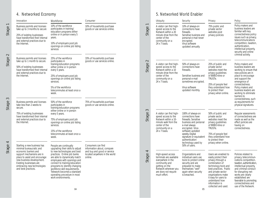# 4. Networked Economy

|         | Innovation                                                                                                                                                                                                                                                  | Workforce                                                                                                                                                                                                                                                                                                                                                                                                                                         | Consumer                                                                                                                    |
|---------|-------------------------------------------------------------------------------------------------------------------------------------------------------------------------------------------------------------------------------------------------------------|---------------------------------------------------------------------------------------------------------------------------------------------------------------------------------------------------------------------------------------------------------------------------------------------------------------------------------------------------------------------------------------------------------------------------------------------------|-----------------------------------------------------------------------------------------------------------------------------|
| Stage   | Business permits and licenses<br>take up to 3 months to secure<br>25% of existing businesses<br>have transformed their internal<br>and external practices due to<br>the Internet.                                                                           | 10% of the workforce<br>participates in training/<br>education programs either<br>online or in person every 5<br>years.<br>10% of employers post job<br>openings on online job listing<br>services                                                                                                                                                                                                                                                | 10% of households purchase<br>goods or use services online.                                                                 |
| Stage 2 | Business permits and licenses<br>take up to 1 month to secure.<br>50% of existing businesses<br>have transformed their internal<br>and external practices due to<br>the Internet.                                                                           | 25% of the workforce<br>participates in<br>training/education programs<br>either online or in person<br>every 5 years.<br>25% of employers post job<br>openings on online job listing<br>services.<br>5% of the workforce<br>telecommutes at least once a<br>week.                                                                                                                                                                                | 33% of households purchase<br>goods or use services online.                                                                 |
| Stage   | Business permits and licenses<br>take less than 2 weeks to<br>secure.<br>75% of existing businesses<br>have transformed their internal<br>and external practices due to<br>the Internet.                                                                    | 50% of the workforce<br>participates in<br>training/education programs<br>either online or in person<br>every 5 years.<br>75% of employers post job<br>openings on online job listing<br>services.                                                                                                                                                                                                                                                | 75% of households purchase<br>goods or use services online.                                                                 |
| Stage 4 | Starting a new business has<br>minimal bureaucratic and<br>economic barriers and<br>support mechanisms are in<br>place to assist and encourage<br>new business development.<br>Existing businesses are<br>embracing new technologies<br>and best practices. | 15% of the workforce<br>telecommutes at least once a<br>week.<br>People are continually<br>upgrading their skills to adjust<br>to new technologies and best<br>practices. Online job banks<br>are able to dynamically match<br>employees with openings and<br>connect to training/education<br>programs to identify changing<br>workforce skill requirements.<br>Telework becomes a standard<br>operating procedure in most<br>work environments. | Consumers can find<br>information about, compare<br>and buy and good or service<br>located anywhere in the world<br>online. |

# 5. Networked World Enabler

|                    | <b>Ubiquity</b>                                                                                                                                                      | Security                                                                                                                                                                                                                                               | Privacy                                                                                                                                                                                                                                                              | Policy                                                                                                                                                                                                                                                                                                                          |
|--------------------|----------------------------------------------------------------------------------------------------------------------------------------------------------------------|--------------------------------------------------------------------------------------------------------------------------------------------------------------------------------------------------------------------------------------------------------|----------------------------------------------------------------------------------------------------------------------------------------------------------------------------------------------------------------------------------------------------------------------|---------------------------------------------------------------------------------------------------------------------------------------------------------------------------------------------------------------------------------------------------------------------------------------------------------------------------------|
| Stage <sup>-</sup> | A visitor can find high-<br>speed access to the<br>Network within a 20<br>minute drive from the<br>center of the<br>community on a<br>24 x 7 basis.                  | 10% of always-on<br>connections have<br>firewalls.<br>Sensitive business and<br>personal e-mail never<br>encrypted.<br>Virus software<br>updated annually.                                                                                             | 75% public and<br>private sector<br>websites post<br>privacy policies                                                                                                                                                                                                | Policy makers and<br>business leaders are<br>familiar with key<br>connectedness policy<br>issues such as privacy,<br>telecommunications<br>competition, taxation,<br>authentication,<br>intellectual property,<br>security and online<br>criminal activity.                                                                     |
| Stage 2            | A visitor can find high-<br>speed access to the<br>Network within a 10<br>minute drive from the<br>center of the<br>community on a<br>24 x 7 basis.                  | 50% of always-on<br>connections have<br>firewalls.<br>Sensitive business and<br>personal e-mail<br>sometimes encrypted.<br>Virus software<br>updated monthly.                                                                                          | 25% of public and<br>private sector<br>websites meet the<br>privacy guidelines<br>of BBBOnline or<br>TRUSTe.<br>25% of people feel<br>they understand how<br>to protect their<br>privacy when online.                                                                | Policy makers and<br>business leaders are<br>working to ensure that<br>new policies are in<br>place to encourage<br>and support the<br>emergence of<br>connectedness.<br>Policy makers and<br>business leaders are<br>working to eliminate<br>barriers to<br>connectedness, such<br>as requirements for<br>physical signatures. |
| Stage 3            | A visitor can find high-<br>speed access to the<br>Network within a 10-<br>minute walk from the<br>center of the<br>community on a<br>24 x 7 basis.                  | 100% of always-on<br>connections have<br>firewalls. Sensitive<br>business and personal<br>e-mail always<br>encrypted. Virus<br>software updated<br>weekly. Digital<br>signature or equivalent<br>authentication<br>technology used by<br>50% of users. | 50% of public and<br>private sector<br>websites meet the<br>privacy guidelines<br>of BBBOnline or<br>TRUSTe.<br>75% of people feel<br>they understand how<br>to protect their<br>privacy when online.                                                                | Regular assessments<br>of connectedness are<br>made as well as the<br>effect policies are<br>having on<br>connectedness.                                                                                                                                                                                                        |
| Stage 4            | High-speed access<br>terminals are available<br>everywhere in the<br>community and<br>getting on the<br>Network wherever you<br>are does not require<br>much effort. | Organizations and<br>individual users use<br>tools to protect online<br>security and are<br>prepared to make<br>themselves "well"<br>again when security<br>is breached.<br>85                                                                         | Users are enabled to<br>easily protect their<br>privacy through a<br>combination of<br>technology tools and<br>best practices. Public<br>and private sector<br>organizations make<br>it easy for users to<br>understand how<br>information is<br>collected and used. | Policies related to<br>privacy, telecommun-<br>ications competition,<br>taxation, authentication,<br>intellectual property,<br>and criminal conduct<br>for disrupting net-<br>works are clearly<br>established are<br>favorable to promoting<br>connectedness and<br>use of the Network.                                        |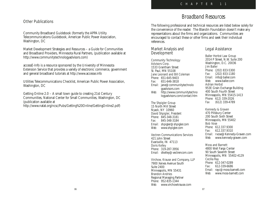## Other Publications

Community Broadband Guidebook (formerly the APPA Utility Telecommunications Guidebook, American Public Power Association, Washington, DC

Market Development Strategies and Resources – a Guide for Communities and Broadband Providers, Minnesota Rural Partners, (publication available at http://www.communitytechnologyadvisors.com)

accessE-Info is a resource sponsored by the University of Minnesota Extension Service that provides a variety of electronic commerce, government and general broadband tutorials at http://www.accesse.info

Utilities Telecommunications Checklist, American Public Power Association, Washington, DC

Getting Online 2.0 – A small town guide to creating 21st Century Communities, National Center for Small Communities, Washington, DC (publication available at

http://www.natat.org/ncsc/Pubs/Getting%20Online/GettingOnline2.pdf)

# *Broadband Resources*

The following professional and technical resources are listed below solely for the convenience of the reader. The Blandin Foundation doesn't make any representations about the firms and organizations. Communities are encouraged to contact these or other firms and seek their individual references.

#### Market Analysis and **Development**

Community Technology Advisors Corp. 1533 Grantham Street St. Paul, MN 55108 Jane Leonard and Bill Coleman *Phone:* 651-645-9403 *Fax:* 651-646-3818 *Email:* jane@communitytechnolo gyadvisors.com *Web:* http://www.communitytechno logyadvisors.com/contact.htm

#### The Shpigler Group

15 North Mill Street Nyack, NY 10960 David Shpigler, *President Phone:* 845-348-3181 *Fax:* 845-348-3184 *Email:* shpigler@shpigler.com *Web:* www.shpigler.com

#### Vectren Communications Services

421 John Street Evansville, IN 47113 Doris Kelley *Phone:* 319-287-3956 *Email:* dkelley@vectrencom.com

#### Virchow, Krause and Company, LLP

7900 Xerxes Avenue South Suite 2400 Minneapolis, MN 55431 Brandon Andries Regional Managing Partner *Phone:* 952-835-1344 *Web:* www.virchowkrause.com

### Legal Assistance

Baller Herbst Law Group 2014 P Street, N.W. Suite 200 Washington, D.C. 20036 Jim Baller *Phone:* (202) 833-5300 *Fax:* (202) 833-1180 *Email:* info@baller.com *Web:* www.baller.com Adrian Herbst 953E Grain Exchange Building 400 South Fourth Street Minneapolis, MN 55415-1413 *Phone:* 612) 339-2026 *Fax* (612) 339-4789

#### Kennedy & Graven

470 Pillsbury Center 200 South Sixth Street Minneapolis, MN 55402 Bob Vose *Phone:* 612.337.9300 *Fax:* 612.337.9310 *Email:* rvose@Kennedy-Graven.com *Web:* www.kennedy-graven.com

#### Moss and Barnett

4800 Well Fargo Center 90 South Seventh Street Minneapolis, MN 55402-4129 Cecilia Ray *Phone:* 612-347-0289 *Fax:* 612-339-6686 *Email:* rayc@moss-barnett.com *Web:* www.moss-barnett.com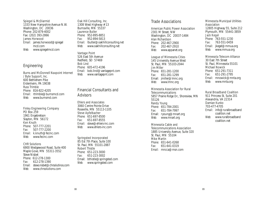Spiegel & McDiarmid 1333 New Hampshire Avenue N.W. Washington, DC 20036 Phone: 202-879-4002 Fax: (202) 393-2866 James Horwood *Email:* james.horwood@spiegel mcd.com *Web:* www.spiegelmcd.com

#### **Engineering**

Burns and McDonnell Navpoint Internet / Byte Support, Inc. 600 Bethlehem Pike Erdenheim, PA 19038 Russ Trimble *Phone:* 816-822-4205 *Email:* rtrimble@burnsmcd.com<br>Web: www.burnsmd.com *Web:* www.burnsmd.com

Finley Engineering Company PO Box 259 1961 Engebretson Slayton, MN 56172 Ken Knuth *Phone:* 507-777-2201 *Fax:* 507-777-2200 *Email:* k.knuth@fecinc.com *Web:* www.fecinc.com

#### CHR Solutions

6900 Wedgewood Road, Suite 400 Maple Gove, MN 55311-3552 Steve Nisbet *Phone:* 612-278-1300 *Fax:* 612-278-1390 *Email:* steve.nisbet@chrsolutinos.com<br>Web: www.chrsolutions.com *Web:* www.chrsolutions.com

#### Oak Hill Consulting, Inc.

1308 West Highway #13 Burnsville, MN 55337 Laurence Butler *Phone:* 952-895-8851 *Fax:* 952-894-5813 *Email:* lbutler@oakhillconsulting.net<br>Web: www.oakhillconsulting.net *Web:* www.oakhillconsulting.net

#### Vantage Point

526 East 5th Avenue Redfield, SD 57469 Bob Lind *Phone:* 605-472-4196 *Email:* bob.lind@vantagepnt.com *Web:* www.vantagepnt.com

## Financial Consultants and **Advisors**

Ehlers and Associates 3060 Centre Pointe Drive Roseville, MN 55113-1105 Steve Apfelbacher *Phone:* 651-697-8500 *Fax:* 651-697-8555 *Email:* steve@ehlers-inc.com *Web:* www.ehlers-inc.com

#### Springsted Incorporated

85 Est 7th Place, Suite 100 St. Paul, MN 55101-2887 Robert Thistle *Phone:* 651-223-3000 *Fax:* 651-223-3002 Email: bthistle@springsted.com *Web:* www.springsted.com

#### Trade Associations

American Public Power Association 2301 M Street, NW Washington, DC 20037-1484 Alan Richardson *Phone:* 202-467-2900 *Fax:* 202-467-2910 *Web:* www.appanet.org

#### League of Minnesota Cities

145 University Avenue West St. Paul, MN 55103-2044 Jim Miller *Phone:* 651-281-1200 *Fax:* 651-281-1299 Email: jmiller@lmnc.org *Web:* www.lmnc.org

#### Minnesota Association for Rural

**Telecommunications** 5857 Prairie Ridge Dr., Shoreview, MN 55126 Randy Young *Phone:* 651-784-2001 *Fax:* 651-784-7997 Email: ryoung@mnart.org *Web:* www.mnart.org

## Minnesota Cable and

Telecommunications Association 1885 University Avenue, Suite 320 St. Paul, MN 55104 Mike Martin *Phone:* 651-641-0268 *Fax:* 651-641-0319 *Email:* mncca@msn.com

#### Minnesota Municipal Utilities **Association** 12805 Highway 55, Suite 212 Plymouth, MN 55441-3859 Jack Kegel *Phone:* 763-551-1230 *Fax:* 763-551-0459 *Email:* jkegel@mmua.org *Web:* www.mmua.org

#### Minnesota Telecom Alliance

30 East 7th Street St. Paul, Minnesota 55101 Michael Nowick *Phone:* 651-291-7311 *Fax:* 651-291-2795 *Email:* mnowick@mnta.org *Web:* www.mnta.org

#### Rural Broadband Coalition

911 Princess St. Suite 201 Alexandria, VA 22314 Damian Kunko 703-477-4705 *Email:* info@ruralbroadband coalition.net *Web:* www.ruralbroadband coalition.net